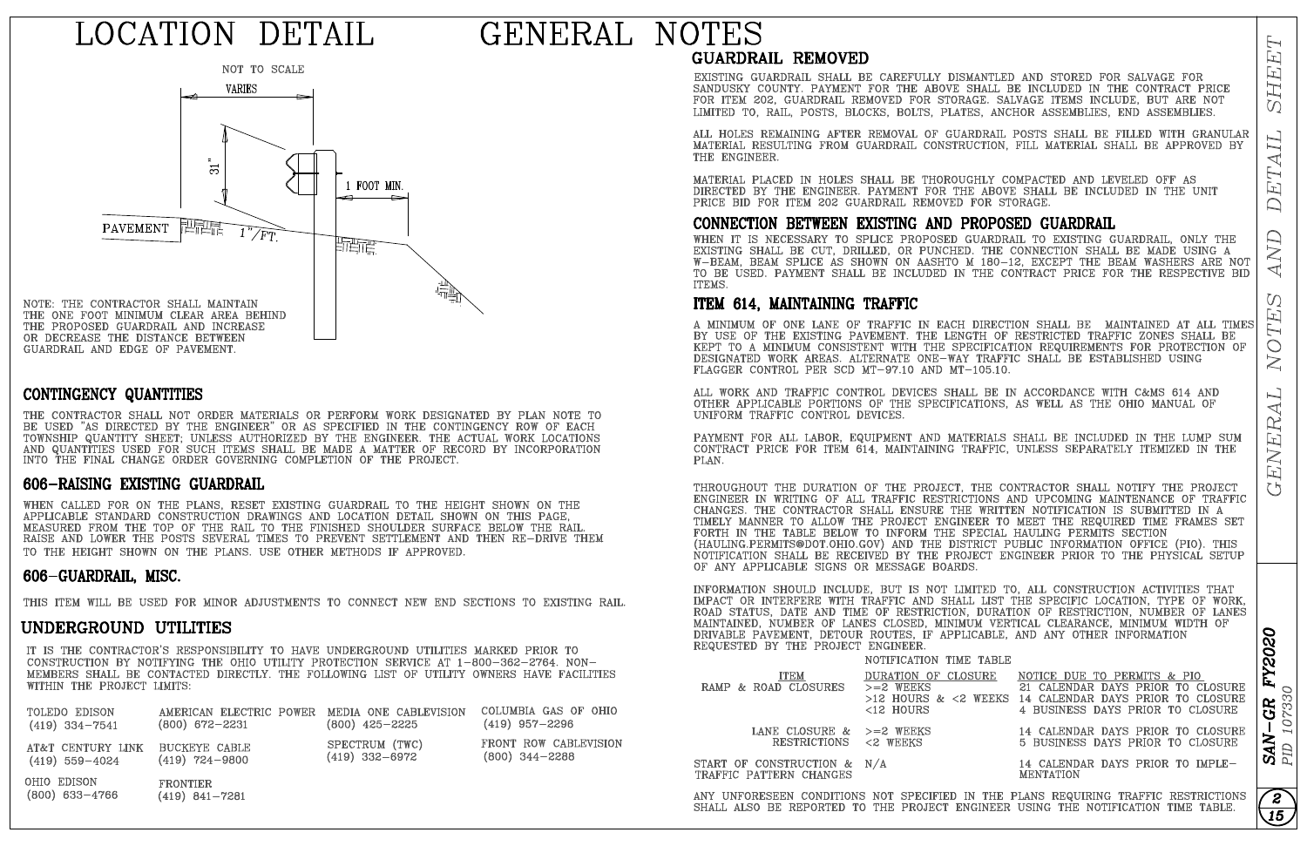# LOCATION DETAIL

# GENERAL NOTES



### CONTINGENCY QUANTITIES

THE CONTRACTOR SHALL NOT ORDER MATERIALS OR PERFORM WORK DESIGNATED BY PLAN NOTE TO BE USED "AS DIRECTED BY THE ENGINEER" OR AS SPECIFIED IN THE CONTINGENCY ROW OF EACH TOWNSHIP QUANTITY SHEET; UNLESS AUTHORIZED BY THE ENGINEER. THE ACTUAL WORK LOCATIONS AND QUANTITIES USED FOR SUCH ITEMS SHALL BE MADE A MATTER OF RECORD BY INCORPORATION INTO THE FINAL CHANGE ORDER GOVERNING COMPLETION OF THE PROJECT.

### 606-RAISING EXISTING GUARDRAIL

WHEN CALLED FOR ON THE PLANS, RESET EXISTING GUARDRAIL TO THE HEIGHT SHOWN ON THE APPLICABLE STANDARD CONSTRUCTION DRAWINGS AND LOCATION DETAIL SHOWN ON THIS PAGE, MEASURED FROM THE TOP OF THE RAIL TO THE FINISHED SHOULDER SURFACE BELOW THE RAIL.<br>RAISE AND LOWER THE POSTS SEVERAL TIMES TO PREVENT SETTLEMENT AND THEN RE-DRIVE THEM TO THE HEIGHT SHOWN ON THE PLANS. USE OTHER METHODS IF APPROVED.

### 606-GUARDRAIL, MISC.

THIS ITEM WILL BE USED FOR MINOR ADJUSTMENTS TO CONNECT NEW END SECTIONS TO EXISTING RAIL.

### UNDERGROUND UTILITIES

IT IS THE CONTRACTOR'S RESPONSIBILITY TO HAVE UNDERGROUND UTILITIES MARKED PRIOR TO CONSTRUCTION BY NOTIFYING THE OHIO UTILITY PROTECTION SERVICE AT 1-800-362-2764. NON-MEMBERS SHALL BE CONTACTED DIRECTLY. THE FOLLOWING LIST OF UTILITY OWNERS HAVE FACILITIES WITHIN THE PROJECT LIMITS:

| TOLEDO EDISON                   | AMERICAN ELECTRIC POWER MEDIA ONE CABLEVISION | $(800)$ 425-2225 | COLUMBIA GAS OF OHIO  |
|---------------------------------|-----------------------------------------------|------------------|-----------------------|
| $(419)$ 334-7541                | $(800)$ 672-2231                              |                  | $(419)$ 957-2296      |
| AT&T CENTURY LINK BUCKEYE CABLE | $(419)$ 724-9800                              | SPECTRUM (TWC)   | FRONT ROW CABLEVISION |
| $(419)$ 559-4024                |                                               | $(419)$ 332-6972 | $(800)$ 344-2288      |

**GUARDRAIL REMOVED** 

EXISTING GUARDRAIL SHALL BE CAREFULLY DISMANTLED AND STORED FOR SALVAGE FOR SANDUSKY COUNTY. PAYMENT FOR THE ABOVE SHALL BE INCLUDED IN THE CONTRACT PRICE FOR ITEM 202, GUARDRAIL REMOVED FOR STORAGE. SALVAGE ITEMS INCLUDE, BUT ARE NOT LIMITED TO, RAIL, POSTS, BLOCKS, BOLTS, PLATES, ANCHOR ASSEMBLIES, END ASSEMBLIES.

ALL HOLES REMAINING AFTER REMOVAL OF GUARDRAIL POSTS SHALL BE FILLED WITH GRANULAR MATERIAL RESULTING FROM GUARDRAIL CONSTRUCTION, FILL MATERIAL SHALL BE APPROVED BY THE ENGINEER.

MATERIAL PLACED IN HOLES SHALL BE THOROUGHLY COMPACTED AND LEVELED OFF AS DIRECTED BY THE ENGINEER. PAYMENT FOR THE ABOVE SHALL BE INCLUDED IN THE UNIT PRICE BID FOR ITEM 202 GUARDRAIL REMOVED FOR STORAGE.

CONNECTION BETWEEN EXISTING AND PROPOSED GUARDRAIL

WHEN IT IS NECESSARY TO SPLICE PROPOSED GUARDRAIL TO EXISTING GUARDRAIL, ONLY THE EXISTING SHALL BE CUT, DRILLED, OR PUNCHED. THE CONNECTION SHALL BE MADE USING A W-BEAM, BEAM SPLICE AS SHOWN ON AASHTO M 180-12, EXCEPT THE BEAM WASHERS ARE NOT TO BE USED. PAYMENT SHALL BE INCLUDED IN THE CONTRACT PRICE FOR THE RESPECTIVE BID ITEMS.

### ITEM 614, MAINTAINING TRAFFIC

A MINIMUM OF ONE LANE OF TRAFFIC IN EACH DIRECTION SHALL BE  $\,$  MAINTAINED AT ALL TIMES BY USE OF THE EXISTING PAVEMENT. THE LENGTH OF RESTRICTED TRAFFIC ZONES SHALL BE KEPT TO A MINIMUM CONSISTENT WITH THE SPECIFICATION REQUIREMENTS FOR PROTECTION OF DESIGNATED WORK AREAS. ALTERNATE ONE-WAY TRAFFIC SHALL BE ESTABLISHED USING FLAGGER CONTROL PER SCD MT-97.10 AND MT-105.10.

ALL WORK AND TRAFFIC CONTROL DEVICES SHALL BE IN ACCORDANCE WITH C&MS 614 AND OTHER APPLICABLE PORTIONS OF THE SPECIFICATIONS, AS WELL AS THE OHIO MANUAL OF UNIFORM TRAFFIC CONTROL DEVICES.

PAYMENT FOR ALL LABOR, EQUIPMENT AND MATERIALS SHALL BE INCLUDED IN THE LUMP SUM CONTRACT PRICE FOR ITEM 614. MAINTAINING TRAFFIC, UNLESS SEPARATELY ITEMIZED IN THE PLAN.

THROUGHOUT THE DURATION OF THE PROJECT, THE CONTRACTOR SHALL NOTIFY THE PROJECT ENGINEER IN WRITING OF ALL TRAFFIC RESTRICTIONS AND UPCOMING MAINTENANCE OF TRAFFIC CHANGES. THE CONTRACTOR SHALL ENSURE THE WRITTEN NOTIFICATION IS SUBMITTED IN A TIMELY MANNER TO ALLOW THE PROJECT ENGINEER TO MEET THE REQUIRED TIME FRAMES SET FORTH IN THE TABLE BELOW TO INFORM THE SPECIAL HAULING PERMITS SECTION<br>(HAULING.PERMITS@DOT.OHIO.GOV) AND THE DISTRICT PUBLIC INFORMATION OFFICE (PIO). THIS NOTIFICATION SHALL BE RECEIVED BY THE PROJECT ENGINEER PRIOR TO THE PHYSICAL SETUP OF ANY APPLICABLE SIGNS OR MESSAGE BOARDS.

INFORMATION SHOULD INCLUDE, BUT IS NOT LIMITED TO, ALL CONSTRUCTION ACTIVITIES THAT IMPACT OR INTERFERE WITH TRAFFIC AND SHALL LIST THE SPECIFIC LOCATION, TYPE OF WORK, ROAD STATUS, DATE AND TIME OF RESTRICTION, DURATION OF RESTRICTION, NUMBER OF LANES MAINTAINED, NUMBER OF LANES CLOSED, MINIMUM VERTICAL CLEARANCE, MINIMUM WIDTH OF DRIVABLE PAVEMENT, DETOUR ROUTES, IF APPLICABLE, AND ANY OTHER INFORMATION REQUESTED BY THE PROJECT ENGINEER.

### NOTIFICATION TIME TABLE

| ITEM<br>RAMP & ROAD CLOSURES                            | DURATION OF CLOSURE<br>$>=2$ WEEKS<br><12 HOURS | NOTICE DUE TO PERMITS & PIO<br>21 CALENDAR DAYS PRIOR TO CLOSURE<br>$>12$ HOURS & $<$ 2 WEEKS 14 CALENDAR DAYS PRIOR TO CLOSURE<br>4 BUSINESS DAYS PRIOR TO CLOSURE |
|---------------------------------------------------------|-------------------------------------------------|---------------------------------------------------------------------------------------------------------------------------------------------------------------------|
| LANE CLOSURE $\&$ $>=$ 2 WEEKS<br>RESTRICTIONS <2 WEEKS |                                                 | 14 CALENDAR DAYS PRIOR TO CLOSURE<br>5 BUSINESS DAYS PRIOR TO CLOSURE                                                                                               |

START OF CONSTRUCTION & N/A TRAFFIC PATTERN CHANGES

ANY UNFORESEEN CONDITIONS NOT SPECIFIED IN THE PLANS REQUIRING TRAFFIC RESTRICTIONS SHALL ALSO BE REPORTED TO THE PROJECT ENGINEER USING THE NOTIFICATION TIME TABLE.

OHIO EDISON **FRONTIER**  $(800)$  633-4766  $(419)$  841-7281 **FY2020** 

107330  $SAN-GR$ <br>PID 107330

໌ 2ີ

 $\overline{15}$ 

5 BUSINESS DAYS PRIOR TO CLOSURE

14 CALENDAR DAYS PRIOR TO IMPLE-**MENTATION**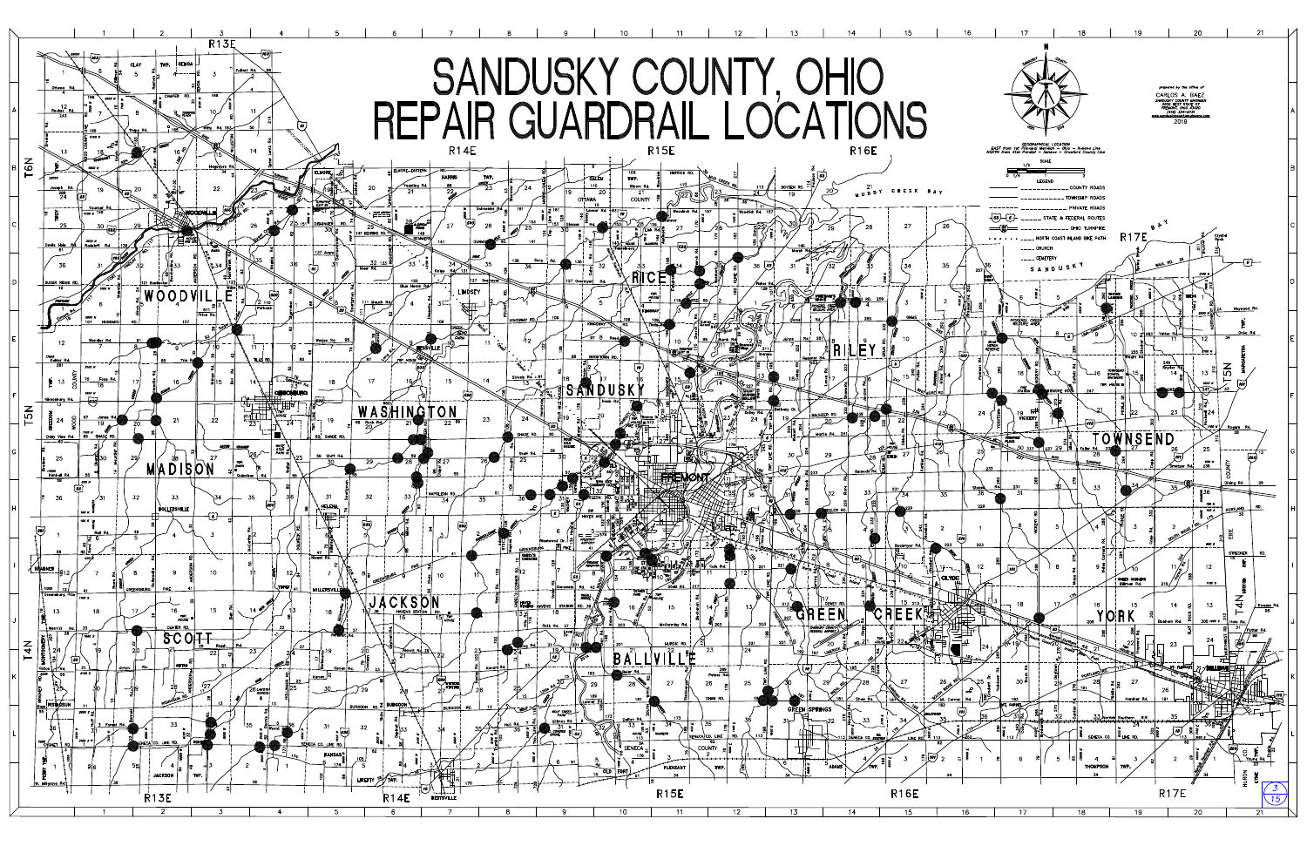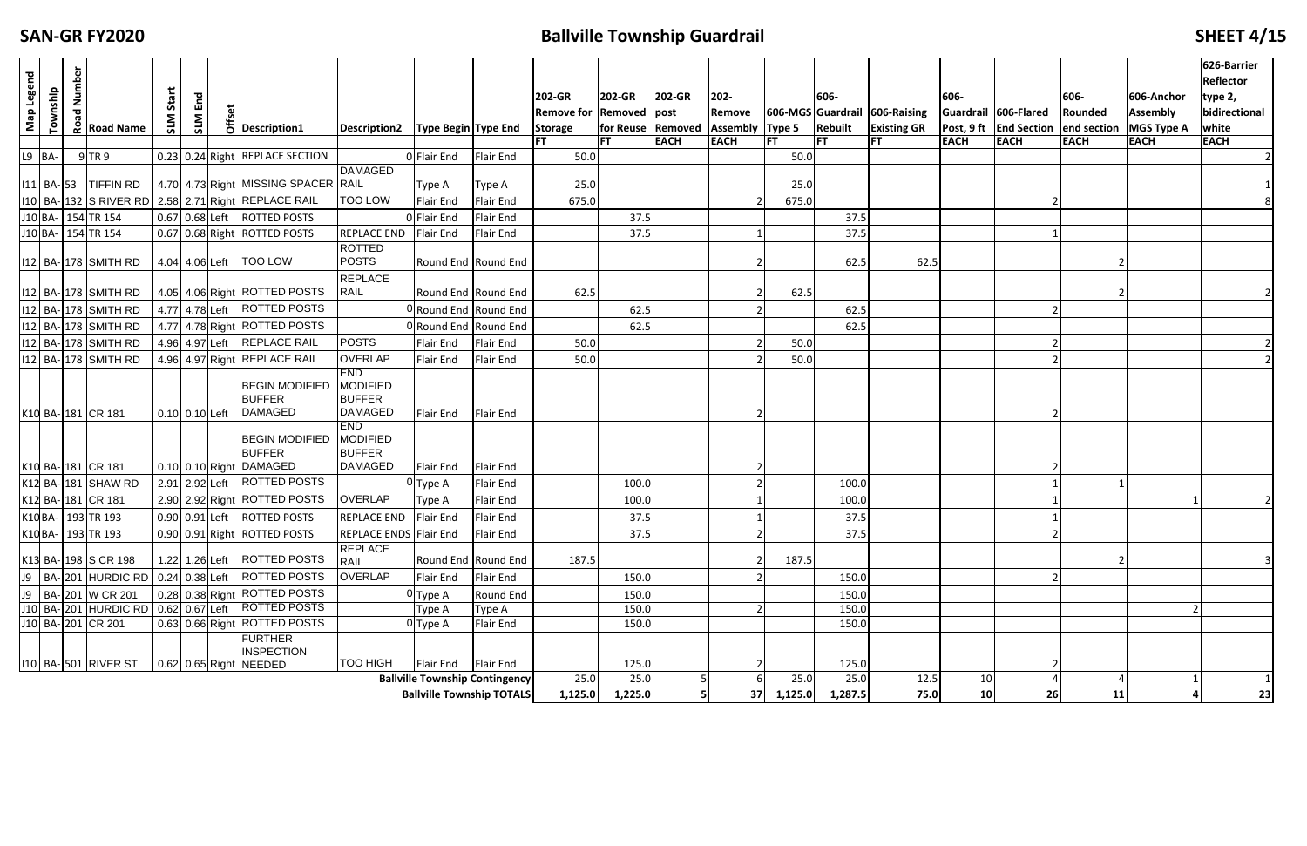## **EXAMPLE EXAMPLE EXAMPLEF SHEET 4/15**

| Map Legend | Township                                                                                                                                                                              | lumber<br>$\overline{\mathbf{c}}$ | $\frac{6}{16}$ Road Name           | Start          | E <sub>nd</sub> |  | $\overline{5}$ Description1                                            | Description2   Type Begin   Type End                             |                                                                           |                     | 202-GR<br>Remove for Removed post<br><b>Storage</b> | 202-GR          | 202-GR      | 202-<br>Remove<br>for Reuse Removed Assembly Type 5 |                                | 606-<br>Rebuilt | 606-MGS Guardrail 606-Raising<br><b>Existing GR</b> | 606-        | Guardrail 606-Flared<br><b>Post, 9 ft End Section end section MGS Type A</b> | 606-<br>Rounded | 606-Anchor<br><b>Assembly</b> | 626-Barrier<br>Reflector<br>type 2,<br>bidirectional<br>white |
|------------|---------------------------------------------------------------------------------------------------------------------------------------------------------------------------------------|-----------------------------------|------------------------------------|----------------|-----------------|--|------------------------------------------------------------------------|------------------------------------------------------------------|---------------------------------------------------------------------------|---------------------|-----------------------------------------------------|-----------------|-------------|-----------------------------------------------------|--------------------------------|-----------------|-----------------------------------------------------|-------------|------------------------------------------------------------------------------|-----------------|-------------------------------|---------------------------------------------------------------|
|            |                                                                                                                                                                                       |                                   |                                    |                |                 |  |                                                                        |                                                                  |                                                                           |                     |                                                     |                 | <b>EACH</b> | <b>EACH</b>                                         | IFT                            | lFT             | <b>FT</b>                                           | <b>EACH</b> | <b>EACH</b>                                                                  | <b>EACH</b>     | <b>EACH</b>                   | <b>EACH</b>                                                   |
|            | $L9$ BA-                                                                                                                                                                              |                                   | $9$ TR 9<br>111 BA- 53   TIFFIN RD |                |                 |  | 0.23 0.24 Right REPLACE SECTION<br>4.70 4.73 Right MISSING SPACER RAIL | <b>DAMAGED</b>                                                   | 0 Flair End<br>Type A                                                     | Flair End<br>Type A | 50.0<br>25.0                                        |                 |             |                                                     | 50.0<br>25.0                   |                 |                                                     |             |                                                                              |                 |                               |                                                               |
|            |                                                                                                                                                                                       |                                   |                                    |                |                 |  | 110   BA- 132   S RIVER RD   2.58   2.71 Right REPLACE RAIL            | <b>TOO LOW</b>                                                   | <b>Flair End</b>                                                          | <b>Flair End</b>    | 675.0                                               |                 |             |                                                     | 675.0                          |                 |                                                     |             |                                                                              |                 |                               |                                                               |
|            |                                                                                                                                                                                       |                                   | J10 BA- 154 TR 154                 |                |                 |  | 0.67 0.68 Left ROTTED POSTS                                            |                                                                  | 0 Flair End                                                               | <b>Flair End</b>    |                                                     | 37.5            |             |                                                     |                                | 37.5            |                                                     |             |                                                                              |                 |                               |                                                               |
|            |                                                                                                                                                                                       |                                   | J10 BA- 154 TR 154                 |                |                 |  | 0.67 0.68 Right ROTTED POSTS                                           | <b>REPLACE END</b>                                               | Flair End                                                                 | Flair End           |                                                     | 37.5            |             |                                                     |                                | 37.5            |                                                     |             |                                                                              |                 |                               |                                                               |
|            |                                                                                                                                                                                       |                                   | 112 BA-178 SMITH RD                |                |                 |  | 4.04 4.06 Left   TOO LOW                                               | <b>ROTTED</b><br><b>POSTS</b>                                    | Round End Round End                                                       |                     |                                                     |                 |             |                                                     |                                | 62.5            | 62.5                                                |             |                                                                              |                 |                               |                                                               |
|            |                                                                                                                                                                                       |                                   | 112   BA- 178   SMITH RD           |                |                 |  | 4.05 4.06 Right ROTTED POSTS                                           | <b>REPLACE</b><br><b>RAIL</b>                                    | Round End Round End                                                       |                     | 62.5                                                |                 |             |                                                     | 62.5                           |                 |                                                     |             |                                                                              |                 |                               |                                                               |
|            |                                                                                                                                                                                       |                                   | 112 BA-178 SMITH RD                |                |                 |  | 4.77 4.78 Left ROTTED POSTS                                            |                                                                  | 0Round End Round End                                                      |                     |                                                     | 62.5            |             |                                                     |                                | 62.5            |                                                     |             |                                                                              |                 |                               |                                                               |
|            |                                                                                                                                                                                       |                                   | 112 BA-178 SMITH RD                |                |                 |  | 4.77 4.78 Right ROTTED POSTS                                           |                                                                  | ORound End Round End                                                      |                     |                                                     | 62.5            |             |                                                     |                                | 62.5            |                                                     |             |                                                                              |                 |                               |                                                               |
|            |                                                                                                                                                                                       |                                   | 112 BA-178 SMITH RD                |                |                 |  | 4.96 4.97 Left REPLACE RAIL                                            | <b>POSTS</b>                                                     | <b>Flair End</b>                                                          | Flair End           | 50.0                                                |                 |             |                                                     | 50.0                           |                 |                                                     |             |                                                                              |                 |                               |                                                               |
|            |                                                                                                                                                                                       |                                   | 112 BA- 178 SMITH RD               |                |                 |  | 4.96 4.97 Right REPLACE RAIL                                           | <b>OVERLAP</b>                                                   | Flair End                                                                 | Flair End           | 50.0                                                |                 |             |                                                     | 50.0                           |                 |                                                     |             |                                                                              |                 |                               |                                                               |
|            |                                                                                                                                                                                       |                                   | K10 BA-181 CR 181                  | 0.10 0.10 Left |                 |  | <b>BEGIN MODIFIED</b><br><b>BUFFER</b><br><b>DAMAGED</b>               | <b>END</b><br><b>MODIFIED</b><br><b>BUFFER</b><br><b>DAMAGED</b> | Flair End                                                                 | <b>Flair End</b>    |                                                     |                 |             |                                                     |                                |                 |                                                     |             |                                                                              |                 |                               |                                                               |
|            |                                                                                                                                                                                       |                                   | K10 BA-181 CR 181                  |                |                 |  | <b>BEGIN MODIFIED</b><br><b>BUFFER</b><br>0.10 0.10 Right DAMAGED      | <b>END</b><br>MODIFIED<br><b>BUFFER</b><br><b>DAMAGED</b>        | Flair End                                                                 | <b>Flair End</b>    |                                                     |                 |             |                                                     |                                |                 |                                                     |             |                                                                              |                 |                               |                                                               |
|            |                                                                                                                                                                                       |                                   | K12 BA-181 SHAW RD                 |                |                 |  | 2.91 2.92 Left ROTTED POSTS                                            |                                                                  | $0$ Type A                                                                | <b>Flair End</b>    |                                                     | 100.0           |             |                                                     |                                | 100.0           |                                                     |             |                                                                              |                 |                               |                                                               |
|            |                                                                                                                                                                                       |                                   | K12 BA-181 CR 181                  |                |                 |  | 2.90 2.92 Right ROTTED POSTS                                           | <b>OVERLAP</b>                                                   | Type A                                                                    | Flair End           |                                                     | 100.0           |             |                                                     |                                | 100.0           |                                                     |             |                                                                              |                 |                               |                                                               |
|            |                                                                                                                                                                                       |                                   | K10 BA- 193 TR 193                 |                |                 |  | 0.90 0.91 Left ROTTED POSTS                                            | <b>REPLACE END</b>                                               | Flair End                                                                 | Flair End           |                                                     | 37.5            |             |                                                     |                                | 37.5            |                                                     |             |                                                                              |                 |                               |                                                               |
|            |                                                                                                                                                                                       |                                   |                                    |                |                 |  |                                                                        |                                                                  |                                                                           | Flair End           |                                                     | 37.5            |             | $\mathbf{z}$                                        |                                | 37.5            |                                                     |             |                                                                              |                 |                               |                                                               |
|            | K10 BA- 193 TR 193<br>0.90 0.91 Right ROTTED POSTS<br>REPLACE ENDS Flair End<br><b>REPLACE</b><br>1.22 1.26 Left   ROTTED POSTS<br>K13 BA-198 S CR 198<br>Round End Round End<br>RAIL |                                   |                                    |                |                 |  |                                                                        |                                                                  |                                                                           |                     | 187.5                                               |                 |             |                                                     | 187.5                          |                 |                                                     |             |                                                                              |                 |                               |                                                               |
|            | J9   BA- 201  HURDIC RD   0.24   0.38 Left   ROTTED POSTS<br><b>OVERLAP</b><br>Flair End<br>Flair End                                                                                 |                                   |                                    |                |                 |  |                                                                        |                                                                  |                                                                           |                     |                                                     | 150.0           |             |                                                     |                                | 150.0           |                                                     |             |                                                                              |                 |                               |                                                               |
|            | 0.28 0.38 Right ROTTED POSTS<br>J9   BA- 201 W CR 201<br>Round End<br>0 Type A                                                                                                        |                                   |                                    |                |                 |  |                                                                        |                                                                  |                                                                           |                     |                                                     | 150.0           |             |                                                     |                                | 150.0           |                                                     |             |                                                                              |                 |                               |                                                               |
|            | J10 BA-201 HURDIC RD 0.62 0.67 Left ROTTED POSTS<br>Type A<br>Type A<br>0.63 0.66 Right ROTTED POSTS<br>J10 BA-201 CR 201                                                             |                                   |                                    |                |                 |  |                                                                        |                                                                  |                                                                           |                     |                                                     | 150.0           |             |                                                     |                                | 150.0           |                                                     |             |                                                                              |                 |                               |                                                               |
|            |                                                                                                                                                                                       |                                   |                                    |                |                 |  | <b>FURTHER</b><br><b>INSPECTION</b>                                    |                                                                  | $0$ Type A                                                                | Flair End           |                                                     | 150.0           |             |                                                     |                                | 150.0           |                                                     |             |                                                                              |                 |                               |                                                               |
|            |                                                                                                                                                                                       |                                   | 110 BA- 501 RIVER ST               |                |                 |  | $\vert$ 0.62 0.65 Right NEEDED                                         | <b>TOO HIGH</b>                                                  | Flair End                                                                 | <b>Flair End</b>    |                                                     | 125.0           |             |                                                     |                                | 125.0           |                                                     |             |                                                                              |                 |                               |                                                               |
|            |                                                                                                                                                                                       |                                   |                                    |                |                 |  |                                                                        |                                                                  | <b>Ballville Township Contingency</b><br><b>Ballville Township TOTALS</b> |                     | 25.0<br>1,125.0                                     | 25.0<br>1,225.0 |             |                                                     | 25.0<br>$37 \mid 1,125.0 \mid$ | 25.0<br>1,287.5 | 12.5<br>75.0                                        | 10<br>10    | 26                                                                           | 11              |                               | 23                                                            |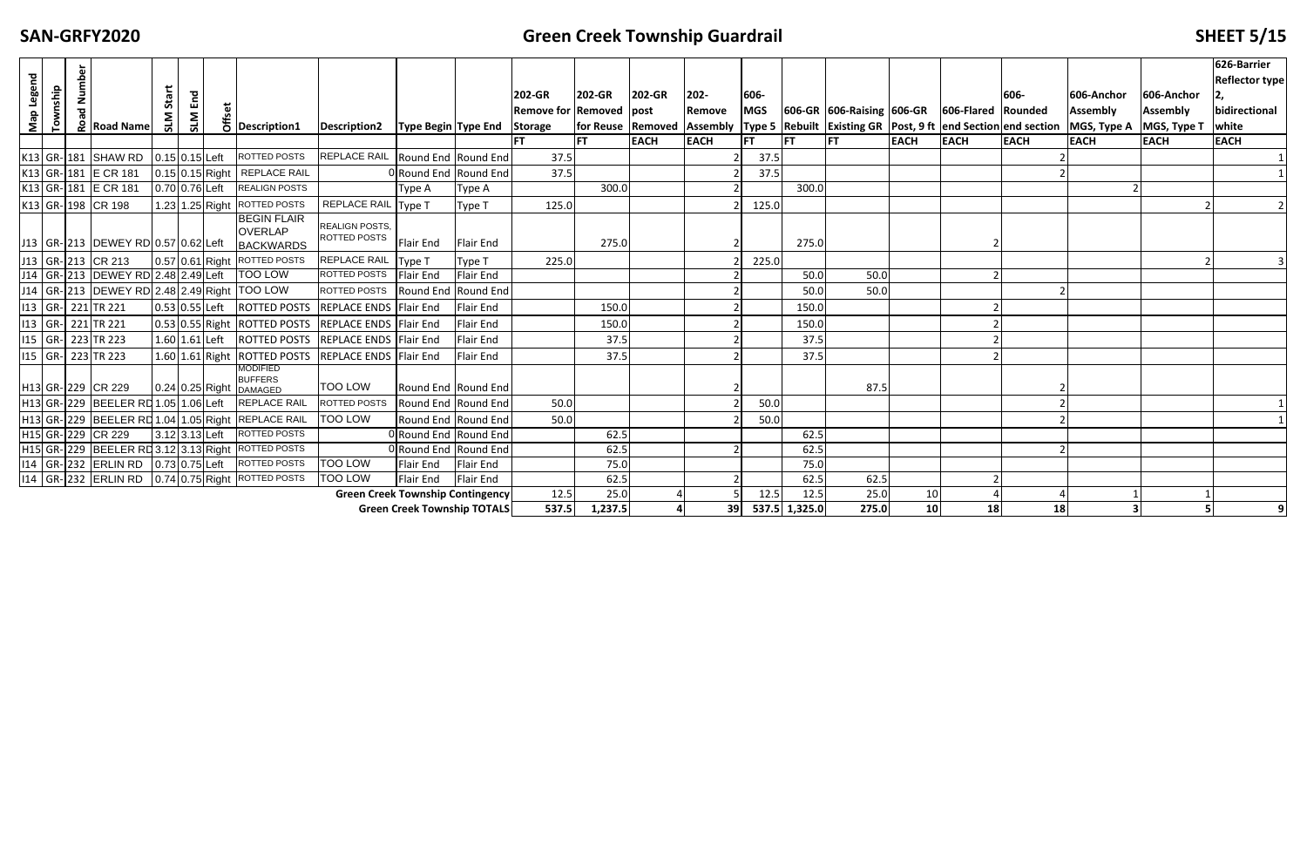### **Creek Township Guardrail SHEET 5/15**

| Map Legend | Township | Number<br>ᅙ<br>$\frac{2}{3}$ Road Name                | Start<br>SLM | End<br>SLM           | $\overline{6}$ Description1                                       | Description2   Type Begin   Type End   Storage |                                    |                  | 202-GR<br>Remove for Removed Ipost | <b>202-GR</b>   | 202-GR      | 202-<br>Remove | 606-<br><b>MGS</b> |                       | 606-GR 606-Raising 606-GR 606-Flared Rounded |                       |             | 606-        | 606-Anchor<br><b>Assembly</b><br> for Reuse   Removed   Assembly   Type 5   Rebuilt   Existing GR   Post, 9 ft   end Section   end section   MGS, Type A | 606-Anchor<br><b>Assembly</b><br>MGS, Type T | 626-Barrier<br><b>Reflector type</b><br>bidirectional<br>white |
|------------|----------|-------------------------------------------------------|--------------|----------------------|-------------------------------------------------------------------|------------------------------------------------|------------------------------------|------------------|------------------------------------|-----------------|-------------|----------------|--------------------|-----------------------|----------------------------------------------|-----------------------|-------------|-------------|----------------------------------------------------------------------------------------------------------------------------------------------------------|----------------------------------------------|----------------------------------------------------------------|
|            |          |                                                       |              |                      |                                                                   |                                                |                                    |                  | <b>FT</b>                          | <b>FT</b>       | <b>EACH</b> | <b>EACH</b>    | <b>FT</b>          | <b>IFT</b>            | lFT.                                         | <b>EACH</b>           | <b>EACH</b> | <b>EACH</b> | <b>EACH</b>                                                                                                                                              | <b>EACH</b>                                  | <b>EACH</b>                                                    |
|            |          | K13 GR-181 SHAW RD                                    |              | 0.15 0.15 Left       | ROTTED POSTS                                                      | REPLACE RAIL Round End Round End               |                                    |                  | 37.5                               |                 |             |                | 37.5               |                       |                                              |                       |             |             |                                                                                                                                                          |                                              |                                                                |
|            |          | K13 GR-181 E CR 181                                   |              | 0.15 0.15 Right      | <b>REPLACE RAIL</b>                                               |                                                | ORound End Round End               |                  | 37.5                               |                 |             |                | 37.5               |                       |                                              |                       |             |             |                                                                                                                                                          |                                              |                                                                |
|            |          | K13 GR-181 E CR 181                                   |              | 0.70 0.76 Left       | <b>REALIGN POSTS</b>                                              |                                                | Type A                             | <b>Type A</b>    |                                    | 300.0           |             |                |                    | 300.0                 |                                              |                       |             |             |                                                                                                                                                          |                                              |                                                                |
|            |          | K13 GR-198 CR 198                                     |              | 1.23 1.25 Right      | ROTTED POSTS                                                      | REPLACE RAIL Type T                            |                                    | Type T           | 125.0                              |                 |             |                | 125.0              |                       |                                              |                       |             |             |                                                                                                                                                          |                                              |                                                                |
|            |          | J13   GR- 213   DEWEY RD   0.57   0.62 Left           |              |                      | <b>BEGIN FLAIR</b><br><b>OVERLAP</b><br><b>BACKWARDS</b>          | <b>REALIGN POSTS,</b><br>ROTTED POSTS          | Flair End                          | <b>Flair End</b> |                                    | 275.0           |             |                |                    | 275.0                 |                                              |                       |             |             |                                                                                                                                                          |                                              |                                                                |
|            |          | J13   GR-213   CR 213                                 |              | 0.57 0.61 Right      | <b>ROTTED POSTS</b>                                               | REPLACE RAIL                                   | Type T                             | Type T           | 225.0                              |                 |             |                | 225.0              |                       |                                              |                       |             |             |                                                                                                                                                          |                                              |                                                                |
|            |          | J14 GR- 213 DEWEY RD 2.48 2.49 Left                   |              |                      | <b>TOO LOW</b>                                                    | ROTTED POSTS Flair End                         |                                    | <b>Flair End</b> |                                    |                 |             |                |                    | 50.0                  | 50.0                                         |                       |             |             |                                                                                                                                                          |                                              |                                                                |
|            |          | J14   GR- 213   DEWEY RD 2.48 2.49 Right   TOO LOW    |              |                      |                                                                   | ROTTED POSTS                                   | Round End Round End                |                  |                                    |                 |             |                |                    | 50.0                  | 50.0                                         |                       |             |             |                                                                                                                                                          |                                              |                                                                |
|            |          | 13   GR- 221 TR 221                                   |              | 0.53 0.55 Left       | <b>ROTTED POSTS</b>                                               | REPLACE ENDS Flair End                         |                                    | Flair End        |                                    | 150.0           |             |                |                    | 150.0                 |                                              |                       |             |             |                                                                                                                                                          |                                              |                                                                |
|            |          | 13   GR- 221 TR 221                                   |              |                      | 0.53 0.55 Right ROTTED POSTS                                      | <b>REPLACE ENDS Flair End</b>                  |                                    | Flair End        |                                    | 150.0           |             |                |                    | 150.0                 |                                              |                       |             |             |                                                                                                                                                          |                                              |                                                                |
|            |          | 115 GR- 223 TR 223                                    |              | $1.60   1.61  $ Left | <b>ROTTED POSTS</b>                                               | REPLACE ENDS Flair End                         |                                    | Flair End        |                                    | 37.5            |             |                |                    | 37.5                  |                                              |                       |             |             |                                                                                                                                                          |                                              |                                                                |
|            |          | 115 GR- 223 TR 223                                    |              | 1.60 1.61 Right      | <b>ROTTED POSTS</b>                                               | <b>REPLACE ENDS Flair End</b>                  |                                    | Flair End        |                                    | 37.5            |             |                |                    | 37.5                  |                                              |                       |             |             |                                                                                                                                                          |                                              |                                                                |
|            |          | H <sub>13</sub> GR-229 CR 229                         |              |                      | <b>MODIFIED</b><br><b>BUFFERS</b><br>$0.24 \, 0.25$ Right DAMAGED | <b>TOO LOW</b>                                 | Round End Round End                |                  |                                    |                 |             |                |                    |                       | 87.5                                         |                       |             |             |                                                                                                                                                          |                                              |                                                                |
|            |          | H13 GR-229 BEELER RD 1.05 1.06 Left                   |              |                      | <b>REPLACE RAIL</b>                                               | ROTTED POSTS                                   | Round End Round End                |                  | 50.0                               |                 |             |                | 50.0               |                       |                                              |                       |             |             |                                                                                                                                                          |                                              |                                                                |
|            |          | H13 GR-229 BEELER RD 1.04 1.05 Right REPLACE RAIL     |              |                      |                                                                   | <b>TOO LOW</b>                                 | Round End Round End                |                  | 50.0                               |                 |             |                | 50.0               |                       |                                              |                       |             |             |                                                                                                                                                          |                                              |                                                                |
|            |          | H <sub>15</sub> GR-229 CR 229                         |              | 3.12 3.13 Left       | <b>ROTTED POSTS</b>                                               |                                                | ORound End Round End               |                  |                                    | 62.5            |             |                |                    | 62.5                  |                                              |                       |             |             |                                                                                                                                                          |                                              |                                                                |
|            |          | H15 GR- 229 BEELER RD 3.12 3.13 Right ROTTED POSTS    |              |                      |                                                                   |                                                | 0 Round End Round End              |                  |                                    | 62.5            |             |                |                    | 62.5                  |                                              |                       |             |             |                                                                                                                                                          |                                              |                                                                |
|            |          | 114 GR-232 ERLIN RD 0.73 0.75 Left                    |              |                      | ROTTED POSTS                                                      | <b>TOO LOW</b>                                 | Flair End                          | <b>Flair End</b> |                                    | 75.0            |             |                |                    | 75.0                  |                                              |                       |             |             |                                                                                                                                                          |                                              |                                                                |
|            |          | 114   GR- 232 ERLIN RD   0.74 0.75 Right ROTTED POSTS |              |                      |                                                                   | <b>TOO LOW</b>                                 | <b>Flair End</b>                   | <b>Flair End</b> |                                    | 62.5            |             |                |                    | 62.5                  | 62.5                                         |                       |             |             |                                                                                                                                                          |                                              |                                                                |
|            |          |                                                       |              |                      |                                                                   | <b>Green Creek Township Contingency</b>        | <b>Green Creek Township TOTALS</b> |                  | 12.5<br>537.5                      | 25.0<br>1,237.5 |             | 39             | 12.5               | 12.5<br>537.5 1,325.0 | 25.0<br>275.0                                | 10<br>10 <sup>1</sup> | 18          | 18          |                                                                                                                                                          |                                              | $\overline{9}$                                                 |
|            |          |                                                       |              |                      |                                                                   |                                                |                                    |                  |                                    |                 |             |                |                    |                       |                                              |                       |             |             |                                                                                                                                                          |                                              |                                                                |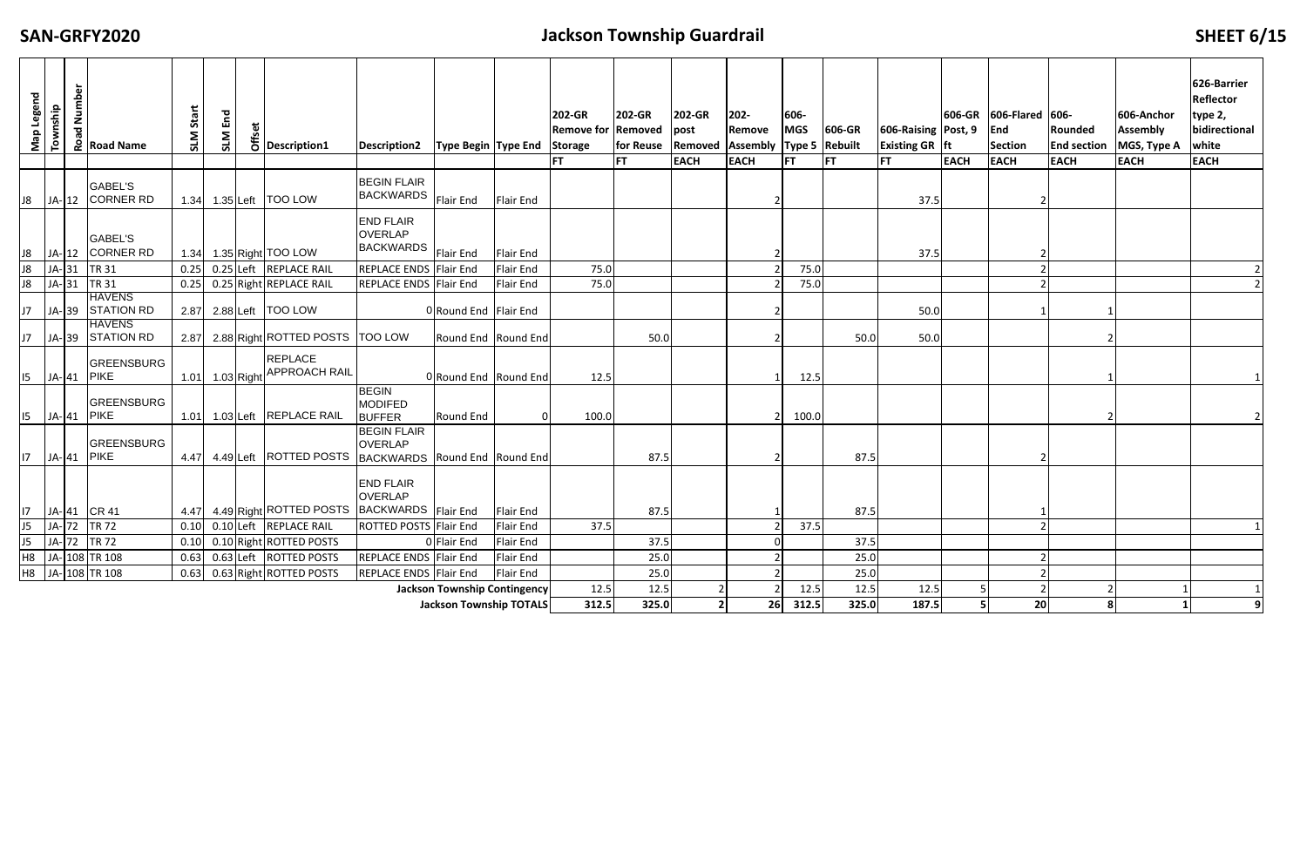## **Jackson Township Guardrail SHEET 6/15**

| Map Legend                                                                                                                                | Number<br>Township  | pa<br>Road Name                            | Start<br><b>NTS</b> | End<br>SLM      |  | $\frac{dS}{dS}$ Description1                              | <b>Description2</b>                                    | <b>Type Begin Type End</b>     |                  | 202-GR<br><b>Remove for Removed</b><br>Storage | 202-GR<br>for Reuse | 202-GR<br>post | 202-<br>Remove<br>Removed   Assembly   Type 5   Rebuilt | 606-<br><b>MGS</b> | 606-GR    | 606-Raising Post, 9<br><b>Existing GR ft</b> | 606-GR      | 606-Flared 606-<br>End<br><b>Section</b> | Rounded<br><b>End section</b> | 606-Anchor<br><b>Assembly</b><br>MGS, Type A | 626-Barrier<br>Reflector<br>type 2,<br>bidirectional<br>white |
|-------------------------------------------------------------------------------------------------------------------------------------------|---------------------|--------------------------------------------|---------------------|-----------------|--|-----------------------------------------------------------|--------------------------------------------------------|--------------------------------|------------------|------------------------------------------------|---------------------|----------------|---------------------------------------------------------|--------------------|-----------|----------------------------------------------|-------------|------------------------------------------|-------------------------------|----------------------------------------------|---------------------------------------------------------------|
|                                                                                                                                           |                     |                                            |                     |                 |  |                                                           |                                                        |                                |                  | <b>FT</b>                                      | <b>FT</b>           | <b>EACH</b>    | <b>EACH</b>                                             | <b>FT</b>          | <b>FT</b> | <b>FT</b>                                    | <b>EACH</b> | <b>EACH</b>                              | <b>EACH</b>                   | <b>EACH</b>                                  | <b>EACH</b>                                                   |
|                                                                                                                                           |                     | <b>GABEL'S</b><br>J8   JA-  12   CORNER RD |                     |                 |  | 1.34 1.35 Left   TOO LOW                                  | <b>BEGIN FLAIR</b><br><b>BACKWARDS</b>                 | Flair End                      | <b>Flair End</b> |                                                |                     |                |                                                         |                    |           | 37.5                                         |             |                                          |                               |                                              |                                                               |
|                                                                                                                                           |                     | <b>GABEL'S</b><br>J8   JA-  12   CORNER RD |                     |                 |  | 1.34 1.35 Right TOO LOW                                   | <b>END FLAIR</b><br><b>OVERLAP</b><br><b>BACKWARDS</b> | Flair End                      | <b>Flair End</b> |                                                |                     |                |                                                         |                    |           | 37.5                                         |             |                                          |                               |                                              |                                                               |
| J8                                                                                                                                        | $JA-31$             | TR 31                                      | 0.25                |                 |  | 0.25 Left REPLACE RAIL                                    | REPLACE ENDS Flair End                                 |                                | Flair End        | 75.0                                           |                     |                |                                                         | 75.0               |           |                                              |             |                                          |                               |                                              |                                                               |
| 8 <sup>1</sup>                                                                                                                            | $JA-31$             | <b>TR 31</b>                               | 0.25                |                 |  | 0.25 Right REPLACE RAIL                                   | REPLACE ENDS Flair End                                 |                                | <b>Flair End</b> | 75.0                                           |                     |                |                                                         | 75.0               |           |                                              |             |                                          |                               |                                              |                                                               |
|                                                                                                                                           |                     | <b>HAVENS</b><br>J7   JA- 39   STATION RD  |                     |                 |  | 2.87 2.88 Left   TOO LOW                                  |                                                        | 0 Round End Flair End          |                  |                                                |                     |                |                                                         |                    |           | 50.0                                         |             |                                          |                               |                                              |                                                               |
| J7                                                                                                                                        |                     | <b>HAVENS</b><br>JA-39 STATION RD          |                     |                 |  | 2.87 2.88 Right ROTTED POSTS   TOO LOW                    |                                                        | Round End Round End            |                  |                                                | 50.0                |                |                                                         |                    | 50.0      | 50.0                                         |             |                                          |                               |                                              |                                                               |
|                                                                                                                                           | $ 15 $ JA- $ 41 $   | GREENSBURG<br><b>PIKE</b>                  |                     | 1.01 1.03 Right |  | <b>REPLACE</b><br><b>APPROACH RAIL</b>                    |                                                        | Round End Round End            |                  | 12.5                                           |                     |                |                                                         | 12.5               |           |                                              |             |                                          |                               |                                              |                                                               |
|                                                                                                                                           | 15   JA-  41   PIKE | GREENSBURG                                 | 1.01                |                 |  | 1.03 Left REPLACE RAIL                                    | <b>BEGIN</b><br><b>MODIFED</b><br><b>BUFFER</b>        | Round End                      |                  | 100.0                                          |                     |                |                                                         | 100.0              |           |                                              |             |                                          |                               |                                              |                                                               |
| 17 <sup>2</sup>                                                                                                                           | JA-41 PIKE          | GREENSBURG                                 |                     |                 |  | 4.47 4.49 Left ROTTED POSTS BACKWARDS Round End Round End | <b>BEGIN FLAIR</b><br><b>OVERLAP</b>                   |                                |                  |                                                | 87.5                |                |                                                         |                    | 87.5      |                                              |             |                                          |                               |                                              |                                                               |
| 17 <sub>1</sub>                                                                                                                           |                     | JA-41 CR 41                                |                     |                 |  | 4.47 4.49 Right ROTTED POSTS BACKWARDS Flair End          | <b>END FLAIR</b><br><b>OVERLAP</b>                     |                                | <b>Flair End</b> |                                                | 87.5                |                |                                                         |                    | 87.5      |                                              |             |                                          |                               |                                              |                                                               |
|                                                                                                                                           | $J5$ $JA-72$        | TR 72                                      | 0.10                |                 |  | 0.10 Left REPLACE RAIL                                    | <b>ROTTED POSTS Flair End</b>                          |                                | <b>Flair End</b> | 37.5                                           |                     |                |                                                         | 37.5               |           |                                              |             |                                          |                               |                                              |                                                               |
|                                                                                                                                           | J5 JA- 72 TR 72     |                                            | 0.10                |                 |  | 0.10 Right ROTTED POSTS                                   |                                                        | 0 Flair End                    | Flair End        |                                                | 37.5                |                |                                                         |                    | 37.5      |                                              |             |                                          |                               |                                              |                                                               |
|                                                                                                                                           |                     | H8 JA- 108 TR 108                          | 0.63                |                 |  | 0.63 Left ROTTED POSTS                                    | REPLACE ENDS Flair End                                 |                                | <b>Flair End</b> |                                                | 25.0                |                |                                                         |                    | 25.0      |                                              |             |                                          |                               |                                              |                                                               |
| H8 JA- 108 TR 108<br>0.63 Right ROTTED POSTS<br>REPLACE ENDS Flair End<br>0.63<br><b>Flair End</b><br><b>Jackson Township Contingency</b> |                     |                                            |                     |                 |  |                                                           |                                                        |                                |                  |                                                | 25.0                |                |                                                         |                    | 25.0      |                                              |             |                                          |                               |                                              |                                                               |
|                                                                                                                                           |                     |                                            |                     |                 |  |                                                           |                                                        |                                |                  | 12.5                                           | 12.5                |                |                                                         | 12.5               | 12.5      | 12.5                                         |             |                                          |                               |                                              |                                                               |
|                                                                                                                                           |                     |                                            |                     |                 |  |                                                           |                                                        | <b>Jackson Township TOTALS</b> |                  | 312.5                                          | 325.0               | $\overline{2}$ | 26                                                      | 312.5              | 325.0     | 187.5                                        |             | 20                                       | $\mathbf{8}$                  |                                              |                                                               |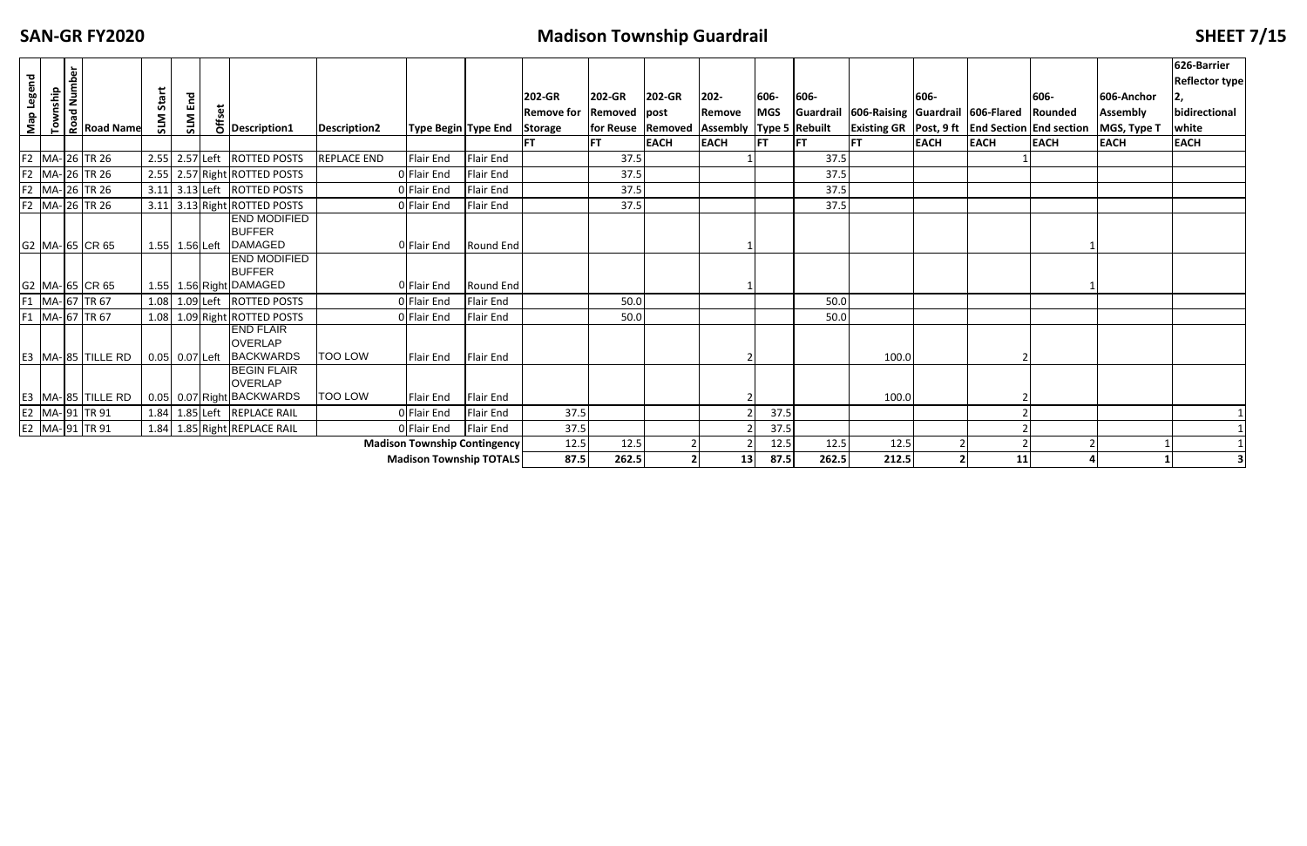## **FIXALLE <b>FIXALLE CONSTRUSTED SHEET** 7/15

| Map Legend |          | <b>DEALER IN THE ROAD NAME</b> | Start |                  |                                                                   |                    |                                     |                  | 202-GR            | 202-GR              | 202-GR      | 202-                        | 606-       | 606-      |                                                           | 606-        |             | 606-        | 606-Anchor      | 626-Barrier<br><b>Reflector type</b> |
|------------|----------|--------------------------------|-------|------------------|-------------------------------------------------------------------|--------------------|-------------------------------------|------------------|-------------------|---------------------|-------------|-----------------------------|------------|-----------|-----------------------------------------------------------|-------------|-------------|-------------|-----------------|--------------------------------------|
|            | Township |                                |       | End              |                                                                   |                    |                                     |                  | <b>Remove for</b> | Removed post        |             | Remove                      | <b>MGS</b> | Guardrail | 606-Raising Guardrail 606-Flared Rounded                  |             |             |             | <b>Assembly</b> | bidirectional                        |
|            |          |                                | SLM   | <b>N1S</b>       | $\frac{1}{6}$ Description1                                        | Description2       | <b>Type Begin Type End</b>          |                  | Storage           | for Reuse   Removed |             | Assembly   Type 5   Rebuilt |            |           | <b>Existing GR</b> Post, 9 ft   End Section   End section |             |             |             | MGS, Type T     | white                                |
|            |          |                                |       |                  |                                                                   |                    |                                     |                  | <b>FT</b>         | FT.                 | <b>EACH</b> | <b>EACH</b>                 | IFT.       | IFT.      | <b>FT</b>                                                 | <b>EACH</b> | <b>EACH</b> | <b>EACH</b> | <b>EACH</b>     | <b>EACH</b>                          |
|            |          | F2 MA- 26 TR 26                |       |                  | 2.55 2.57 Left ROTTED POSTS                                       | <b>REPLACE END</b> | Flair End                           | Flair End        |                   | 37.5                |             |                             |            | 37.5      |                                                           |             |             |             |                 |                                      |
|            |          | F2 MA- 26 TR 26                |       |                  | 2.55 2.57 Right ROTTED POSTS                                      |                    | 0 Flair End                         | Flair End        |                   | 37.5                |             |                             |            | 37.5      |                                                           |             |             |             |                 |                                      |
|            |          | F2 MA- 26 TR 26                |       |                  | 3.11 3.13 Left ROTTED POSTS                                       |                    | 0 Flair End                         | Flair End        |                   | 37.5                |             |                             |            | 37.5      |                                                           |             |             |             |                 |                                      |
|            |          | F2 MA- 26 TR 26                |       |                  | 3.11 3.13 Right ROTTED POSTS                                      |                    | 0 Flair End                         | Flair End        |                   | 37.5                |             |                             |            | 37.5      |                                                           |             |             |             |                 |                                      |
|            |          | G2 MA-65 CR 65                 |       | 1.55 1.56 Left   | <b>END MODIFIED</b><br><b>BUFFER</b><br><b>DAMAGED</b>            |                    | 0 Flair End                         | Round End        |                   |                     |             |                             |            |           |                                                           |             |             |             |                 |                                      |
|            |          |                                |       |                  | <b>END MODIFIED</b>                                               |                    |                                     |                  |                   |                     |             |                             |            |           |                                                           |             |             |             |                 |                                      |
|            |          | G2 MA-65 CR 65                 |       |                  | <b>BUFFER</b><br>1.55 1.56 Right DAMAGED                          |                    | O Flair End                         | <b>Round End</b> |                   |                     |             |                             |            |           |                                                           |             |             |             |                 |                                      |
|            |          | F1 MA- 67 TR 67                |       |                  | 1.08 1.09 Left ROTTED POSTS                                       |                    | 0 Flair End                         | Flair End        |                   | 50.0                |             |                             |            | 50.0      |                                                           |             |             |             |                 |                                      |
|            |          | F1 MA- 67 TR 67                |       |                  | 1.08 1.09 Right ROTTED POSTS                                      |                    | 0 Flair End                         | Flair End        |                   | 50.0                |             |                             |            | 50.0      |                                                           |             |             |             |                 |                                      |
|            |          | E3 MA-85 TILLE RD              |       | $0.05$ 0.07 Left | <b>END FLAIR</b><br><b>OVERLAP</b><br><b>BACKWARDS</b>            | <b>TOO LOW</b>     | Flair End                           | Flair End        |                   |                     |             |                             |            |           | 100.0                                                     |             |             |             |                 |                                      |
|            |          | E3 MA-85 TILLE RD              |       |                  | <b>BEGIN FLAIR</b><br><b>OVERLAP</b><br>0.05 0.07 Right BACKWARDS | <b>TOO LOW</b>     | Flair End                           | Flair End        |                   |                     |             |                             |            |           | 100.0                                                     |             |             |             |                 |                                      |
|            |          | E2 MA-91 TR 91                 |       |                  | 1.84 1.85 Left REPLACE RAIL                                       |                    | 0 Flair End                         | Flair End        | 37.5              |                     |             |                             | 37.5       |           |                                                           |             |             |             |                 |                                      |
|            |          | E2 MA- 91 TR 91                |       |                  | 1.84 1.85 Right REPLACE RAIL                                      |                    | 0 Flair End                         | Flair End        | 37.5              |                     |             |                             | 37.5       |           |                                                           |             |             |             |                 |                                      |
|            |          |                                |       |                  |                                                                   |                    | <b>Madison Township Contingency</b> |                  | 12.5              | 12.5                |             |                             | 12.5       | 12.5      | 12.5                                                      |             |             |             |                 |                                      |
|            |          |                                |       |                  |                                                                   |                    | <b>Madison Township TOTALS</b>      |                  | 87.5              | 262.5               |             | 13                          | 87.5       | 262.5     | 212.5                                                     |             | 11          |             |                 |                                      |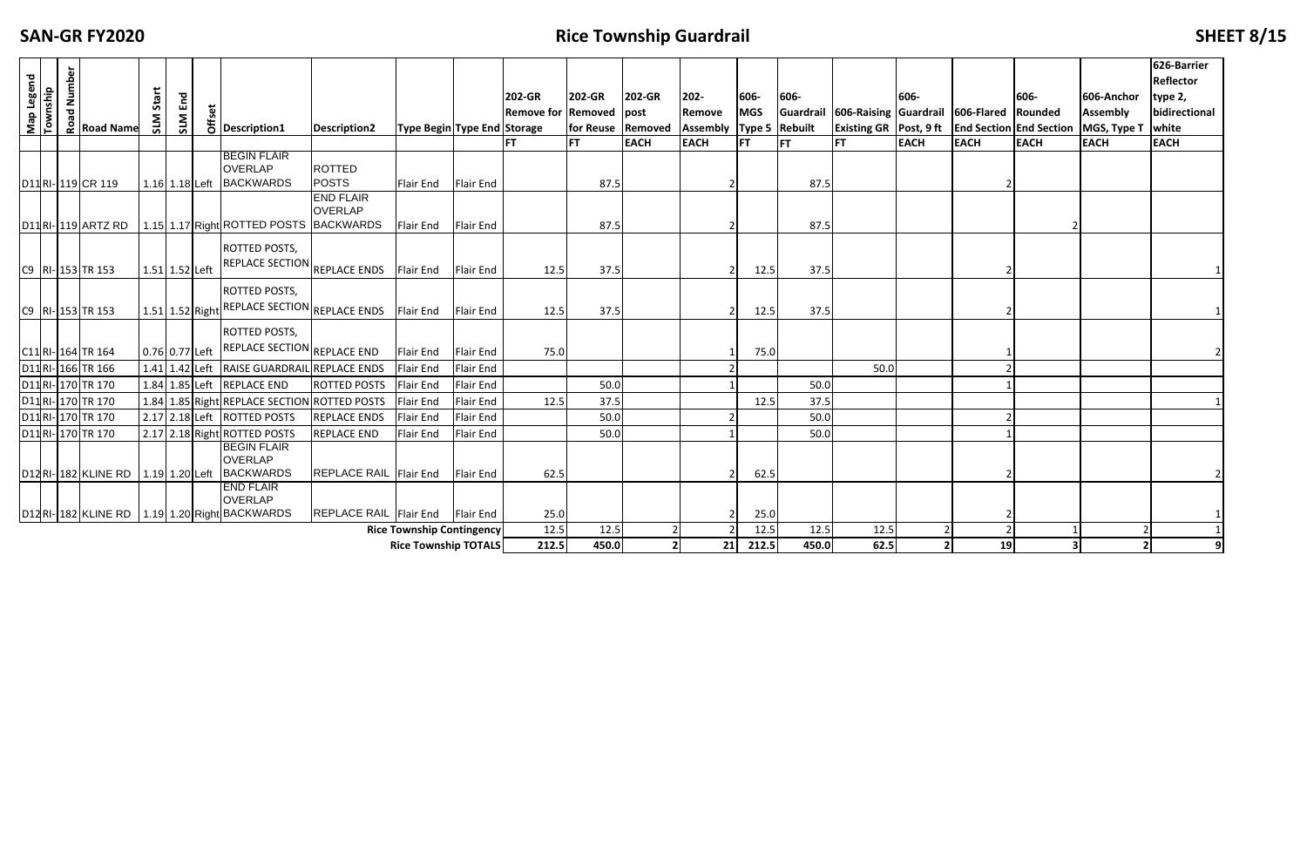### **SAN‐GR**

## **FIGUARTIZE: FIGUARTIZE: FIGUARTIZE: FIGUARTIZE: FIGUARTIZE: SHEET** 8/15

|            |                                      |  | <b>ROAD MANUTER</b><br>ROAD ROAD Name    |                  |     |                  |                                                    |                                  |                                                                 |                               |                                |                   |             |                             |               |               |                                                      |                |             |             |                 | 626-Barrier<br>Reflector |
|------------|--------------------------------------|--|------------------------------------------|------------------|-----|------------------|----------------------------------------------------|----------------------------------|-----------------------------------------------------------------|-------------------------------|--------------------------------|-------------------|-------------|-----------------------------|---------------|---------------|------------------------------------------------------|----------------|-------------|-------------|-----------------|--------------------------|
| Map Legend | Township                             |  |                                          | Start            |     |                  |                                                    |                                  |                                                                 |                               | 202-GR                         | 202-GR            | 202-GR      | 202-                        | 606-          | 606-          |                                                      | 606-           |             | 606-        | 606-Anchor      | type 2,                  |
|            |                                      |  |                                          |                  | End |                  |                                                    |                                  |                                                                 |                               | <b>Remove for Removed post</b> |                   |             | Remove                      | <b>MGS</b>    |               | Guardrail 606-Raising Guardrail 606-Flared Rounded   |                |             |             | <b>Assembly</b> | bidirectional            |
|            |                                      |  |                                          | SLM              | SLM |                  | $\overline{6}$ Description1                        | Description2                     | <b>Type Begin Type End Storage</b>                              |                               |                                | for Reuse Removed |             | Assembly   Type 5   Rebuilt |               |               | Existing GR   Post, 9 ft   End Section   End Section |                |             |             | MGS, Type T     | white                    |
|            |                                      |  |                                          |                  |     |                  |                                                    |                                  |                                                                 |                               |                                | IFT.              | <b>EACH</b> | <b>EACH</b>                 | <b>FT</b>     | <b>IFT</b>    | <b>FT</b>                                            | <b>EACH</b>    | <b>EACH</b> | <b>EACH</b> | <b>EACH</b>     | <b>EACH</b>              |
|            |                                      |  |                                          |                  |     |                  | <b>BEGIN FLAIR</b>                                 |                                  |                                                                 |                               |                                |                   |             |                             |               |               |                                                      |                |             |             |                 |                          |
|            |                                      |  |                                          |                  |     |                  | <b>OVERLAP</b>                                     | <b>ROTTED</b>                    |                                                                 |                               |                                |                   |             |                             |               |               |                                                      |                |             |             |                 |                          |
|            |                                      |  | D11 RI-119 CR 119                        |                  |     | 1.16 $1.18$ Left | <b>BACKWARDS</b>                                   | <b>POSTS</b><br><b>END FLAIR</b> | <b>Flair End</b>                                                | <b>Flair End</b>              |                                | 87.5              |             |                             |               | 87.5          |                                                      |                |             |             |                 |                          |
|            |                                      |  |                                          |                  |     |                  |                                                    | <b>OVERLAP</b>                   |                                                                 |                               |                                |                   |             |                             |               |               |                                                      |                |             |             |                 |                          |
|            |                                      |  | D11RI-119 ARTZ RD                        |                  |     |                  | 1.15 1.17 Right ROTTED POSTS BACKWARDS             |                                  | Flair End                                                       | <b>Flair End</b>              |                                | 87.5              |             |                             |               | 87.5          |                                                      |                |             |             |                 |                          |
|            |                                      |  |                                          |                  |     |                  | <b>ROTTED POSTS,</b>                               |                                  |                                                                 |                               |                                |                   |             |                             |               |               |                                                      |                |             |             |                 |                          |
|            |                                      |  |                                          |                  |     |                  | <b>REPLACE SECTION</b> REPLACE ENDS                |                                  |                                                                 |                               |                                |                   |             |                             |               |               |                                                      |                |             |             |                 |                          |
|            |                                      |  | C9 RI- 153 TR 153                        | $1.51$ 1.52 Left |     |                  |                                                    |                                  | Flair End                                                       | Flair End                     | 12.5                           | 37.5              |             |                             | 12.5          | 37.5          |                                                      |                |             |             |                 |                          |
|            |                                      |  |                                          |                  |     |                  | <b>ROTTED POSTS,</b>                               |                                  |                                                                 |                               |                                |                   |             |                             |               |               |                                                      |                |             |             |                 |                          |
|            |                                      |  | C9 RI- 153 TR 153                        |                  |     |                  | 1.51 1.52 Right REPLACE SECTION REPLACE ENDS       |                                  | Flair End                                                       | Flair End                     | 12.5                           | 37.5              |             | $\mathcal{P}$               | 12.5          | 37.5          |                                                      |                |             |             |                 |                          |
|            |                                      |  |                                          |                  |     |                  | ROTTED POSTS,                                      |                                  |                                                                 |                               |                                |                   |             |                             |               |               |                                                      |                |             |             |                 |                          |
|            |                                      |  |                                          | 0.76 0.77 Left   |     |                  | REPLACE SECTION REPLACE END                        |                                  | <b>Flair End</b>                                                | <b>Flair End</b>              | 75.0                           |                   |             |                             |               |               |                                                      |                |             |             |                 |                          |
|            |                                      |  | C11 RI- 164 TR 164                       |                  |     | 1.41 $1.42$ Left |                                                    |                                  |                                                                 |                               |                                |                   |             |                             | 75.0          |               |                                                      |                |             |             |                 |                          |
|            |                                      |  | D11 RI- 166 TR 166<br>D11 RI- 170 TR 170 |                  |     | $1.84$ 1.85 Left | RAISE GUARDRAIL REPLACE ENDS<br><b>REPLACE END</b> |                                  | <b>Flair End</b>                                                | <b>Flair End</b>              |                                |                   |             |                             |               |               | 50.0                                                 |                |             |             |                 |                          |
|            |                                      |  |                                          |                  |     |                  |                                                    | <b>ROTTED POSTS</b>              | <b>Flair End</b>                                                | <b>Flair End</b>              |                                | 50.0              |             |                             |               | 50.0          |                                                      |                |             |             |                 |                          |
|            |                                      |  | D11 RI- 170 TR 170                       |                  |     |                  | 1.84 1.85 Right REPLACE SECTION ROTTED POSTS       |                                  | <b>Flair End</b>                                                | <b>Flair End</b><br>Flair End | 12.5                           | 37.5              |             |                             | 12.5          | 37.5          |                                                      |                |             |             |                 |                          |
|            |                                      |  | D11 RI- 170 TR 170                       |                  |     | 2.17 2.18 Left   | <b>ROTTED POSTS</b>                                | <b>REPLACE ENDS</b>              | <b>Flair End</b>                                                |                               |                                | 50.0              |             |                             |               | 50.0          |                                                      |                |             |             |                 |                          |
|            |                                      |  | D11RI-170TR 170                          |                  |     |                  | 2.17 2.18 Right ROTTED POSTS                       | <b>REPLACE END</b>               | <b>Flair End</b>                                                | <b>Flair End</b>              |                                | 50.0              |             |                             |               | 50.0          |                                                      |                |             |             |                 |                          |
|            | <b>BEGIN FLAIR</b><br><b>OVERLAP</b> |  |                                          |                  |     |                  |                                                    |                                  |                                                                 |                               |                                |                   |             |                             |               |               |                                                      |                |             |             |                 |                          |
|            |                                      |  | D12RI-182 KLINE RD   1.19 1.20 Left      |                  |     |                  | <b>BACKWARDS</b>                                   | <b>REPLACE RAIL Flair End</b>    |                                                                 | Flair End                     | 62.5                           |                   |             |                             | 62.5          |               |                                                      |                |             |             |                 |                          |
|            |                                      |  |                                          |                  |     |                  | <b>END FLAIR</b>                                   |                                  |                                                                 |                               |                                |                   |             |                             |               |               |                                                      |                |             |             |                 |                          |
|            |                                      |  |                                          |                  |     |                  | <b>OVERLAP</b>                                     |                                  |                                                                 |                               |                                |                   |             |                             |               |               |                                                      |                |             |             |                 |                          |
|            |                                      |  |                                          |                  |     |                  | D12RI-182 KLINE RD 1.19 1.20 Right BACKWARDS       | <b>REPLACE RAIL Flair End</b>    |                                                                 | Flair End                     | 25.0                           |                   |             |                             | 25.0          |               |                                                      |                |             |             |                 |                          |
|            |                                      |  |                                          |                  |     |                  |                                                    |                                  | <b>Rice Township Contingency</b><br><b>Rice Township TOTALS</b> |                               | 12.5<br>212.5                  | 12.5<br>450.0     |             | 21                          | 12.5<br>212.5 | 12.5<br>450.0 | 12.5<br>62.5                                         | $\overline{2}$ | 19          |             |                 | 9                        |
|            |                                      |  |                                          |                  |     |                  |                                                    |                                  |                                                                 |                               |                                |                   |             |                             |               |               |                                                      |                |             | 3           |                 |                          |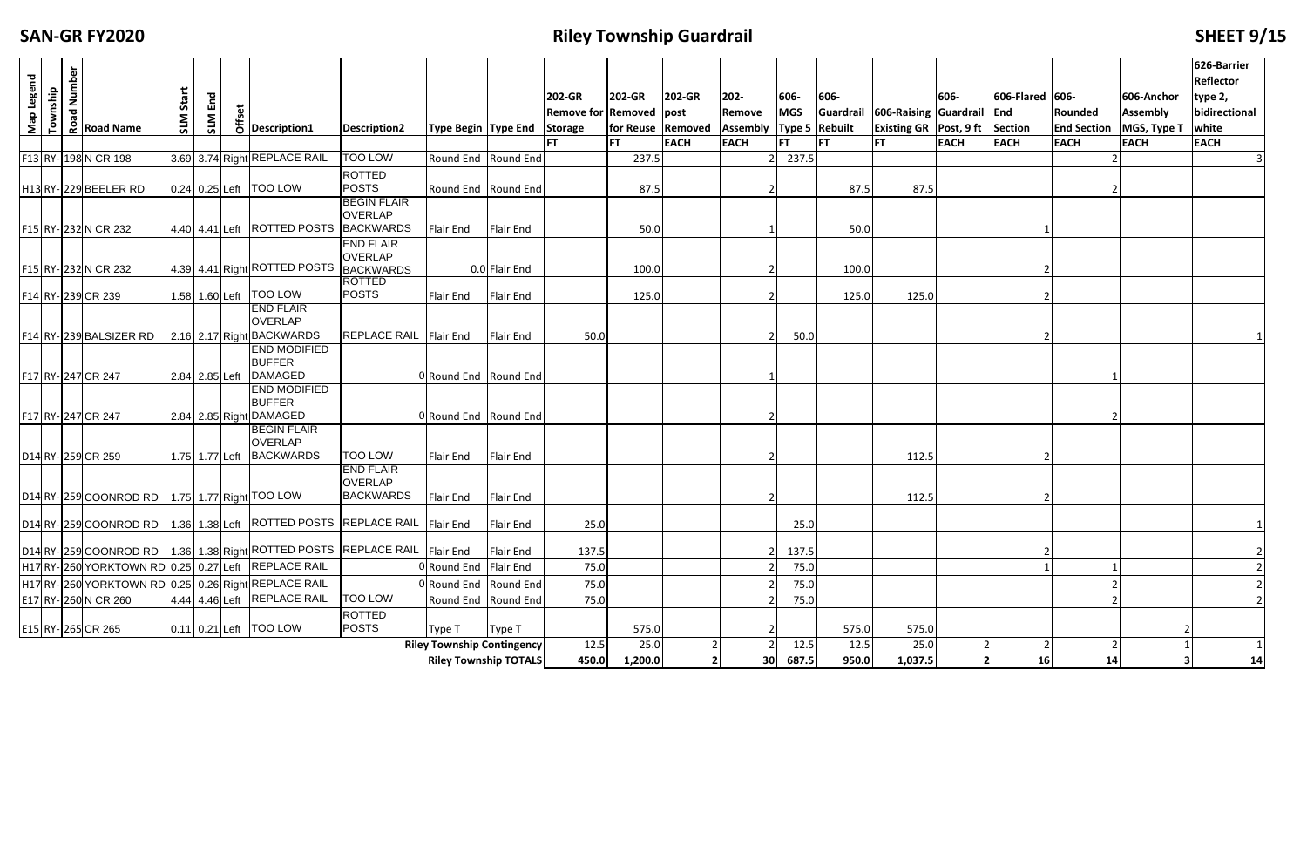## **Filley Township Guardrail All and The Contract Contract Contract Contract Contract Contract Contract Contract Contract Contract Contract Contract Contract Contract Contract Contract Contract Contract Contract Contract C**

| Map Legend<br>Township | Road Number<br>Road Name                            | Start<br><b>NTS</b> | $E_{\rm m}$<br>SLM | $\overline{5}$ Description1                                                      | <b>Description2</b>                                    | <b>Type Begin Type End</b>        |                  | <b>202-GR</b><br><b>Remove for Removed post</b><br><b>Storage</b> | 202-GR<br>for Reuse   Removed | 202-GR      | 202-<br>Remove<br>Assembly | 606-<br><b>MGS</b> | 606-<br>Type 5 Rebuilt | Guardrail 606-Raising Guardrail End<br><b>Existing GR Post, 9 ft</b> | 606-           | 606-Flared 606-<br>Section | Rounded<br><b>End Section</b> | 606-Anchor<br><b>Assembly</b><br>MGS, Type T | 626-Barrier<br><b>Reflector</b><br>type 2,<br>bidirectional<br>white |
|------------------------|-----------------------------------------------------|---------------------|--------------------|----------------------------------------------------------------------------------|--------------------------------------------------------|-----------------------------------|------------------|-------------------------------------------------------------------|-------------------------------|-------------|----------------------------|--------------------|------------------------|----------------------------------------------------------------------|----------------|----------------------------|-------------------------------|----------------------------------------------|----------------------------------------------------------------------|
|                        |                                                     |                     |                    |                                                                                  |                                                        |                                   |                  |                                                                   | <b>FT</b>                     | <b>EACH</b> | <b>EACH</b>                | <b>FT</b>          | <b>FT</b>              | <b>FT</b>                                                            | <b>EACH</b>    | <b>EACH</b>                | <b>EACH</b>                   | <b>EACH</b>                                  | <b>EACH</b>                                                          |
|                        | F13 RY-198 N CR 198                                 |                     |                    | 3.69 3.74 Right REPLACE RAIL                                                     | <b>TOO LOW</b>                                         | Round End Round End               |                  |                                                                   | 237.5                         |             |                            | 237.5              |                        |                                                                      |                |                            |                               |                                              |                                                                      |
|                        | H13 RY-229 BEELER RD                                |                     |                    | 0.24 0.25 Left   TOO LOW                                                         | <b>ROTTED</b><br><b>POSTS</b>                          | Round End Round End               |                  |                                                                   | 87.5                          |             |                            |                    | 87.5                   | 87.5                                                                 |                |                            |                               |                                              |                                                                      |
|                        |                                                     |                     |                    | 4.40 4.41 Left   ROTTED POSTS   BACKWARDS                                        | <b>BEGIN FLAIR</b><br><b>OVERLAP</b>                   |                                   | Flair End        |                                                                   |                               |             |                            |                    |                        |                                                                      |                |                            |                               |                                              |                                                                      |
|                        | F15 RY- 232 N CR 232                                |                     |                    |                                                                                  | <b>END FLAIR</b>                                       | Flair End                         |                  |                                                                   | 50.0                          |             |                            |                    | 50.0                   |                                                                      |                |                            |                               |                                              |                                                                      |
|                        | F15 RY- 232 N CR 232                                |                     |                    | 4.39 4.41 Right ROTTED POSTS BACKWARDS                                           | <b>OVERLAP</b>                                         |                                   | 0.0 Flair End    |                                                                   | 100.0                         |             |                            |                    | 100.0                  |                                                                      |                |                            |                               |                                              |                                                                      |
|                        | F14 RY- 239 CR 239                                  |                     |                    | 1.58 1.60 Left   TOO LOW                                                         | <b>ROTTED</b><br><b>POSTS</b>                          | Flair End                         | Flair End        |                                                                   | 125.0                         |             |                            |                    | 125.0                  | 125.0                                                                |                |                            |                               |                                              |                                                                      |
|                        | F14 RY-239 BALSIZER RD                              |                     |                    | <b>END FLAIR</b><br><b>OVERLAP</b><br>2.16 2.17 Right BACKWARDS                  | <b>REPLACE RAIL</b>                                    | Flair End                         | Flair End        | $50.0$                                                            |                               |             |                            | 50.0               |                        |                                                                      |                |                            |                               |                                              |                                                                      |
|                        | F17 RY- 247 CR 247                                  |                     | 2.84 2.85 Left     | <b>END MODIFIED</b><br><b>BUFFER</b><br><b>DAMAGED</b>                           |                                                        | 0Round End Round End              |                  |                                                                   |                               |             |                            |                    |                        |                                                                      |                |                            |                               |                                              |                                                                      |
|                        | F17 RY- 247 CR 247                                  |                     |                    | <b>END MODIFIED</b><br><b>BUFFER</b><br>2.84 2.85 Right DAMAGED                  |                                                        | 0 Round End Round End             |                  |                                                                   |                               |             |                            |                    |                        |                                                                      |                |                            |                               |                                              |                                                                      |
|                        | D <sub>14</sub> RY-259 CR 259                       |                     |                    | <b>BEGIN FLAIR</b><br><b>OVERLAP</b><br>1.75 1.77 Left BACKWARDS                 | <b>TOO LOW</b>                                         | <b>Flair End</b>                  | <b>Flair End</b> |                                                                   |                               |             |                            |                    |                        | 112.5                                                                |                |                            |                               |                                              |                                                                      |
|                        | D14 RY- 259 COONROD RD   1.75 1.77 Right TOO LOW    |                     |                    |                                                                                  | <b>END FLAIR</b><br><b>OVERLAP</b><br><b>BACKWARDS</b> | <b>Flair End</b>                  | Flair End        |                                                                   |                               |             |                            |                    |                        | 112.5                                                                |                |                            |                               |                                              |                                                                      |
|                        |                                                     |                     |                    | D14 RY-259 COONROD RD   1.36 1.38 Left   ROTTED POSTS   REPLACE RAIL   Flair End |                                                        |                                   | Flair End        | 25.0                                                              |                               |             |                            | 25.0               |                        |                                                                      |                |                            |                               |                                              |                                                                      |
|                        |                                                     |                     |                    | D14 RY- 259 COONROD RD   1.36 1.38 Right ROTTED POSTS REPLACE RAIL               |                                                        | Flair End                         | Flair End        | 137.5                                                             |                               |             |                            | 137.5              |                        |                                                                      |                | 2                          |                               |                                              |                                                                      |
|                        | H17 RY-260 YORKTOWN RD 0.25 0.27 Left REPLACE RAIL  |                     |                    |                                                                                  |                                                        | ORound End Flair End              |                  | 75.0                                                              |                               |             |                            | 75.0               |                        |                                                                      |                |                            |                               |                                              |                                                                      |
|                        | H17 RY-260 YORKTOWN RD 0.25 0.26 Right REPLACE RAIL |                     |                    |                                                                                  |                                                        | Round End Round End               |                  | 75.0                                                              |                               |             |                            | 75.0               |                        |                                                                      |                |                            |                               |                                              |                                                                      |
|                        | E17 RY- 260 N CR 260                                |                     |                    | 4.44 4.46 Left REPLACE RAIL                                                      | <b>TOO LOW</b>                                         | Round End Round End               |                  | 75.0                                                              |                               |             |                            | 75.0               |                        |                                                                      |                |                            |                               |                                              | $\overline{2}$                                                       |
|                        | E15 RY- 265 CR 265                                  |                     |                    | 0.11 0.21 Left   TOO LOW                                                         | <b>ROTTED</b><br><b>POSTS</b>                          | Type T                            | Type T           |                                                                   | 575.0                         |             |                            |                    | 575.0                  | 575.0                                                                |                |                            |                               |                                              |                                                                      |
|                        |                                                     |                     |                    |                                                                                  |                                                        | <b>Riley Township Contingency</b> |                  | 12.5                                                              | 25.0                          |             |                            | 12.5               | 12.5                   | 25.0                                                                 |                |                            |                               |                                              |                                                                      |
|                        |                                                     |                     |                    |                                                                                  |                                                        | <b>Riley Township TOTALS</b>      |                  | 450.0                                                             | 1,200.0                       |             |                            | 30 687.5           | 950.0                  | 1,037.5                                                              | 2 <sup>1</sup> | 16                         | 14                            |                                              | 14                                                                   |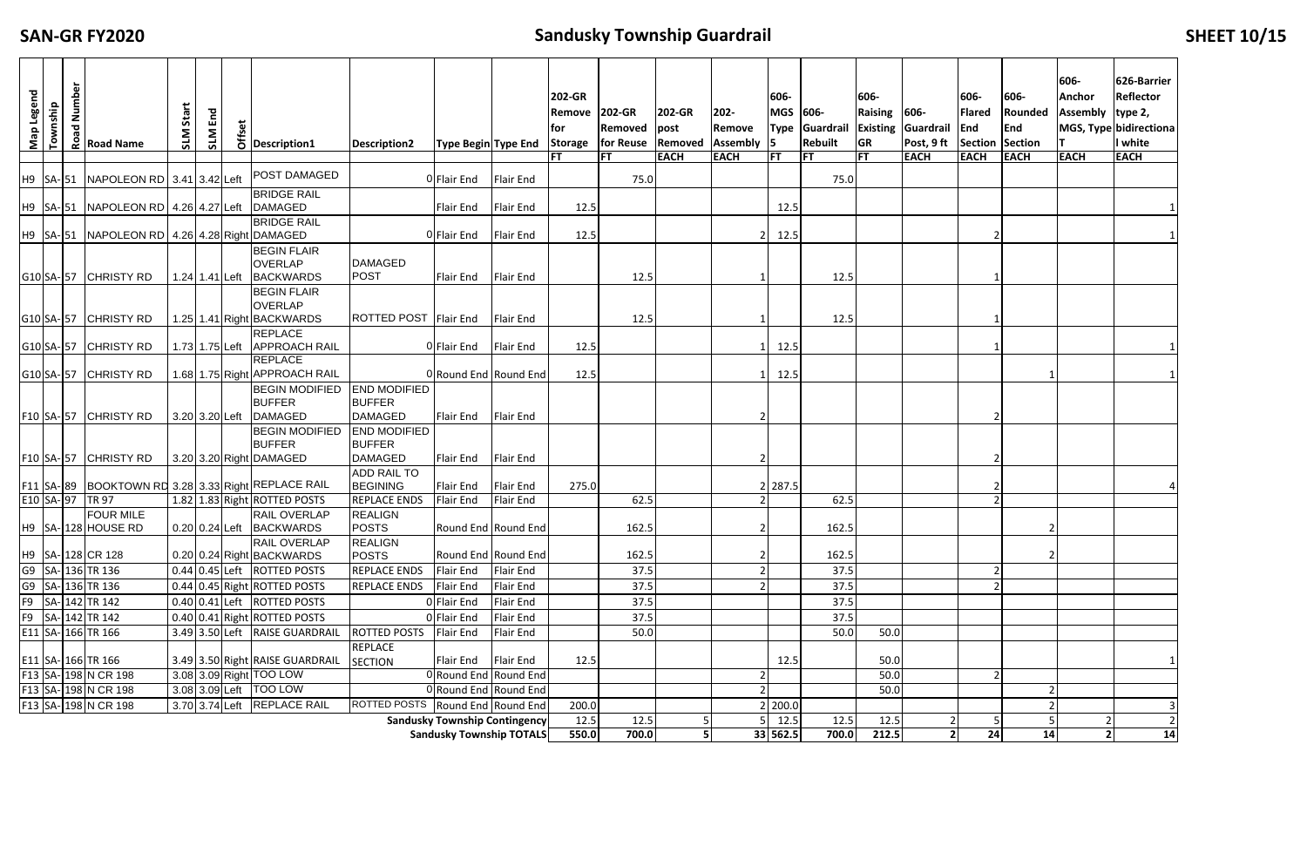## **FIZED SANDUSHY SHEET 10/15**

| Map Legend                                                                                                                                       | Township | Number<br>ᅙ<br><b>Q</b> | <b>Road Name</b>                                   | Start<br><b>N1S</b> | End<br>SLM | δ | Description1                                                      | <b>Description2</b>                   | Type Begin Type End                  |                  | 202-GR<br>Remove<br>tor<br><b>Storage</b> | 202-GR<br><b>Removed</b> post<br>for Reuse   Removed | <b>202-GR</b> | $202 -$<br>Remove<br><b>Assembly</b> | 606-<br>MGS 606-<br><b>S</b> | Type Guardrail Existing Guardrail<br><b>Rebuilt</b> | 606-<br>Raising 606-<br><b>GR</b> | Post, 9 ft          | 606-<br>Flared<br>End<br>Section Section | 606-<br>Rounded<br><b>End</b> | 606-<br><b>Anchor</b><br><b>Assembly</b> | 626-Barrier<br><b>Reflector</b><br>type 2,<br>MGS, Type bidirectiona<br>I white |
|--------------------------------------------------------------------------------------------------------------------------------------------------|----------|-------------------------|----------------------------------------------------|---------------------|------------|---|-------------------------------------------------------------------|---------------------------------------|--------------------------------------|------------------|-------------------------------------------|------------------------------------------------------|---------------|--------------------------------------|------------------------------|-----------------------------------------------------|-----------------------------------|---------------------|------------------------------------------|-------------------------------|------------------------------------------|---------------------------------------------------------------------------------|
|                                                                                                                                                  |          |                         |                                                    |                     |            |   |                                                                   |                                       |                                      |                  |                                           | IFT                                                  | <b>EACH</b>   | <b>EACH</b>                          | IFT.                         | <b>FT</b>                                           | IFT.                              | <b>EACH</b>         | <b>EACH</b>                              | <b>EACH</b>                   | <b>EACH</b>                              | <b>EACH</b>                                                                     |
|                                                                                                                                                  |          |                         | H9 SA-51 NAPOLEON RD 3.41 3.42 Left                |                     |            |   | POST DAMAGED                                                      |                                       | O Flair End                          | Flair End        |                                           | 75.0                                                 |               |                                      |                              | 75.0                                                |                                   |                     |                                          |                               |                                          |                                                                                 |
|                                                                                                                                                  |          |                         |                                                    |                     |            |   | <b>BRIDGE RAIL</b>                                                |                                       |                                      |                  |                                           |                                                      |               |                                      |                              |                                                     |                                   |                     |                                          |                               |                                          |                                                                                 |
|                                                                                                                                                  |          |                         | H9 SA-51 NAPOLEON RD 4.26 4.27 Left                |                     |            |   | <b>DAMAGED</b><br><b>BRIDGE RAIL</b>                              |                                       | Flair End                            | Flair End        | 12.5                                      |                                                      |               |                                      | 12.5                         |                                                     |                                   |                     |                                          |                               |                                          |                                                                                 |
|                                                                                                                                                  |          |                         | H9 SA-51 NAPOLEON RD 4.26 4.28 Right DAMAGED       |                     |            |   |                                                                   |                                       | OFlair End                           | Flair End        | 12.5                                      |                                                      |               |                                      | 12.5                         |                                                     |                                   |                     |                                          |                               |                                          |                                                                                 |
|                                                                                                                                                  |          |                         |                                                    |                     |            |   | <b>BEGIN FLAIR</b><br><b>OVERLAP</b>                              | <b>DAMAGED</b>                        |                                      |                  |                                           |                                                      |               |                                      |                              |                                                     |                                   |                     |                                          |                               |                                          |                                                                                 |
|                                                                                                                                                  |          |                         | G10SA-57 CHRISTY RD                                | 1.24 1.41 Left      |            |   | <b>BACKWARDS</b>                                                  | <b>POST</b>                           | Flair End                            | Flair End        |                                           | 12.5                                                 |               |                                      |                              | 12.5                                                |                                   |                     |                                          |                               |                                          |                                                                                 |
|                                                                                                                                                  |          |                         | G10SA-57 CHRISTY RD                                |                     |            |   | <b>BEGIN FLAIR</b><br><b>OVERLAP</b><br>1.25 1.41 Right BACKWARDS | ROTTED POST   Flair End               |                                      | Flair End        |                                           | 12.5                                                 |               |                                      |                              | 12.5                                                |                                   |                     |                                          |                               |                                          |                                                                                 |
|                                                                                                                                                  |          |                         |                                                    |                     |            |   | <b>REPLACE</b>                                                    |                                       |                                      |                  |                                           |                                                      |               |                                      |                              |                                                     |                                   |                     |                                          |                               |                                          |                                                                                 |
|                                                                                                                                                  |          |                         | G10SA-57 CHRISTY RD                                | 1.73 1.75 Left      |            |   | <b>APPROACH RAIL</b>                                              |                                       | O Flair End                          | Flair End        | 12.5                                      |                                                      |               |                                      | 12.5                         |                                                     |                                   |                     |                                          |                               |                                          |                                                                                 |
|                                                                                                                                                  |          |                         | G10SA-57 CHRISTY RD                                |                     |            |   | <b>REPLACE</b><br>1.68 1.75 Right APPROACH RAIL                   |                                       | ORound End Round End                 |                  | 12.5                                      |                                                      |               |                                      | 12.5                         |                                                     |                                   |                     |                                          |                               |                                          |                                                                                 |
|                                                                                                                                                  |          |                         |                                                    |                     |            |   | <b>BEGIN MODIFIED</b>                                             | <b>END MODIFIED</b>                   |                                      |                  |                                           |                                                      |               |                                      |                              |                                                     |                                   |                     |                                          |                               |                                          |                                                                                 |
|                                                                                                                                                  |          |                         | F10 SA-57 CHRISTY RD                               | 3.20 3.20 Left      |            |   | <b>BUFFER</b><br>DAMAGED                                          | <b>BUFFER</b><br><b>DAMAGED</b>       | <b>Flair End</b>                     | Flair End        |                                           |                                                      |               |                                      |                              |                                                     |                                   |                     |                                          |                               |                                          |                                                                                 |
|                                                                                                                                                  |          |                         |                                                    |                     |            |   | <b>BEGIN MODIFIED</b>                                             | <b>END MODIFIED</b>                   |                                      |                  |                                           |                                                      |               |                                      |                              |                                                     |                                   |                     |                                          |                               |                                          |                                                                                 |
|                                                                                                                                                  |          |                         | F10 SA-57 CHRISTY RD                               |                     |            |   | <b>BUFFER</b><br>3.20 3.20 Right DAMAGED                          | <b>BUFFER</b><br><b>DAMAGED</b>       | Flair End                            | Flair End        |                                           |                                                      |               |                                      |                              |                                                     |                                   |                     |                                          |                               |                                          |                                                                                 |
|                                                                                                                                                  |          |                         | F11 SA-89 BOOKTOWN RD 3.28 3.33 Right REPLACE RAIL |                     |            |   |                                                                   | <b>ADD RAIL TO</b><br><b>BEGINING</b> | Flair End                            | Flair End        | 275.0                                     |                                                      |               |                                      | 287.5                        |                                                     |                                   |                     |                                          |                               |                                          |                                                                                 |
| E10 SA- 97 TR 97                                                                                                                                 |          |                         |                                                    |                     |            |   | 1.82 1.83 Right ROTTED POSTS                                      | <b>REPLACE ENDS</b>                   | <b>Flair End</b>                     | <b>Flair End</b> |                                           | 62.5                                                 |               |                                      |                              | 62.5                                                |                                   |                     |                                          |                               |                                          |                                                                                 |
|                                                                                                                                                  |          |                         | <b>FOUR MILE</b><br>H9 SA-128 HOUSE RD             |                     |            |   | <b>RAIL OVERLAP</b><br>0.20 0.24 Left BACKWARDS                   | REALIGN<br><b>POSTS</b>               | Round End Round End                  |                  |                                           | 162.5                                                |               |                                      |                              | 162.5                                               |                                   |                     |                                          |                               |                                          |                                                                                 |
|                                                                                                                                                  |          |                         | H9   SA- 128   CR 128                              |                     |            |   | <b>RAIL OVERLAP</b><br>0.20 0.24 Right BACKWARDS                  | <b>REALIGN</b><br><b>POSTS</b>        | Round End Round End                  |                  |                                           | 162.5                                                |               |                                      |                              | 162.5                                               |                                   |                     |                                          |                               |                                          |                                                                                 |
|                                                                                                                                                  |          |                         | G9 SA-136 TR 136                                   |                     |            |   | 0.44 0.45 Left ROTTED POSTS                                       | REPLACE ENDS                          | Flair End                            | Flair End        |                                           | 37.5                                                 |               |                                      |                              | 37.5                                                |                                   |                     |                                          |                               |                                          |                                                                                 |
|                                                                                                                                                  |          |                         | G9 SA-136 TR 136                                   |                     |            |   | 0.44 0.45 Right ROTTED POSTS                                      | <b>REPLACE ENDS</b>                   | Flair End                            | Flair End        |                                           | 37.5                                                 |               |                                      |                              | 37.5                                                |                                   |                     |                                          |                               |                                          |                                                                                 |
|                                                                                                                                                  |          |                         | F9 SA- 142 TR 142                                  |                     |            |   | 0.40 0.41 Left ROTTED POSTS                                       |                                       | 0 Flair End                          | Flair End        |                                           | 37.5                                                 |               |                                      |                              | 37.5                                                |                                   |                     |                                          |                               |                                          |                                                                                 |
|                                                                                                                                                  |          |                         | F9 SA-142 TR 142                                   |                     |            |   | 0.40 0.41 Right ROTTED POSTS                                      |                                       | 0 Flair End                          | Flair End        |                                           | 37.5                                                 |               |                                      |                              | 37.5                                                |                                   |                     |                                          |                               |                                          |                                                                                 |
|                                                                                                                                                  |          |                         | E11 SA-166 TR 166                                  |                     |            |   | 3.49 3.50 Left RAISE GUARDRAIL                                    | ROTTED POSTS                          | Flair End                            | Flair End        |                                           | 50.0                                                 |               |                                      |                              | 50.0                                                | 50.0                              |                     |                                          |                               |                                          |                                                                                 |
|                                                                                                                                                  |          |                         | E11 SA-166 TR 166                                  |                     |            |   | 3.49 3.50 Right RAISE GUARDRAIL                                   | REPLACE<br><b>SECTION</b>             | Flair End                            | Flair End        | 12.5                                      |                                                      |               |                                      | 12.5                         |                                                     | 50.0                              |                     |                                          |                               |                                          |                                                                                 |
| F13 SA-198 N CR 198<br>3.08 3.09 Right TOO LOW<br>0Round End Round End<br>3.08 3.09 Left TOO LOW<br>F13 SA-198 N CR 198<br>0 Round End Round End |          |                         |                                                    |                     |            |   |                                                                   |                                       |                                      |                  |                                           |                                                      |               |                                      |                              |                                                     | 50.0                              |                     |                                          |                               |                                          |                                                                                 |
|                                                                                                                                                  |          |                         |                                                    |                     |            |   |                                                                   |                                       |                                      |                  |                                           |                                                      |               |                                      |                              |                                                     | 50.0                              |                     |                                          |                               |                                          |                                                                                 |
|                                                                                                                                                  |          |                         | F13 SA-198 N CR 198                                |                     |            |   | 3.70 3.74 Left REPLACE RAIL                                       | <b>ROTTED POSTS</b>                   | Round End Round End                  |                  | 200.0                                     |                                                      |               |                                      | 200.0                        |                                                     |                                   |                     |                                          |                               |                                          |                                                                                 |
|                                                                                                                                                  |          |                         |                                                    |                     |            |   |                                                                   |                                       | <b>Sandusky Township Contingency</b> |                  | 12.5                                      | 12.5                                                 |               |                                      | 12.5                         | 12.5                                                | 12.5                              | 2<br>$\overline{2}$ |                                          |                               |                                          |                                                                                 |
|                                                                                                                                                  |          |                         |                                                    |                     |            |   |                                                                   |                                       | <b>Sandusky Township TOTALS</b>      |                  | 550.0                                     | 700.0                                                | 5             |                                      | 33 562.5                     | 700.0                                               | 212.5                             |                     | 24                                       | 14                            | $\mathbf{2}$                             | 14                                                                              |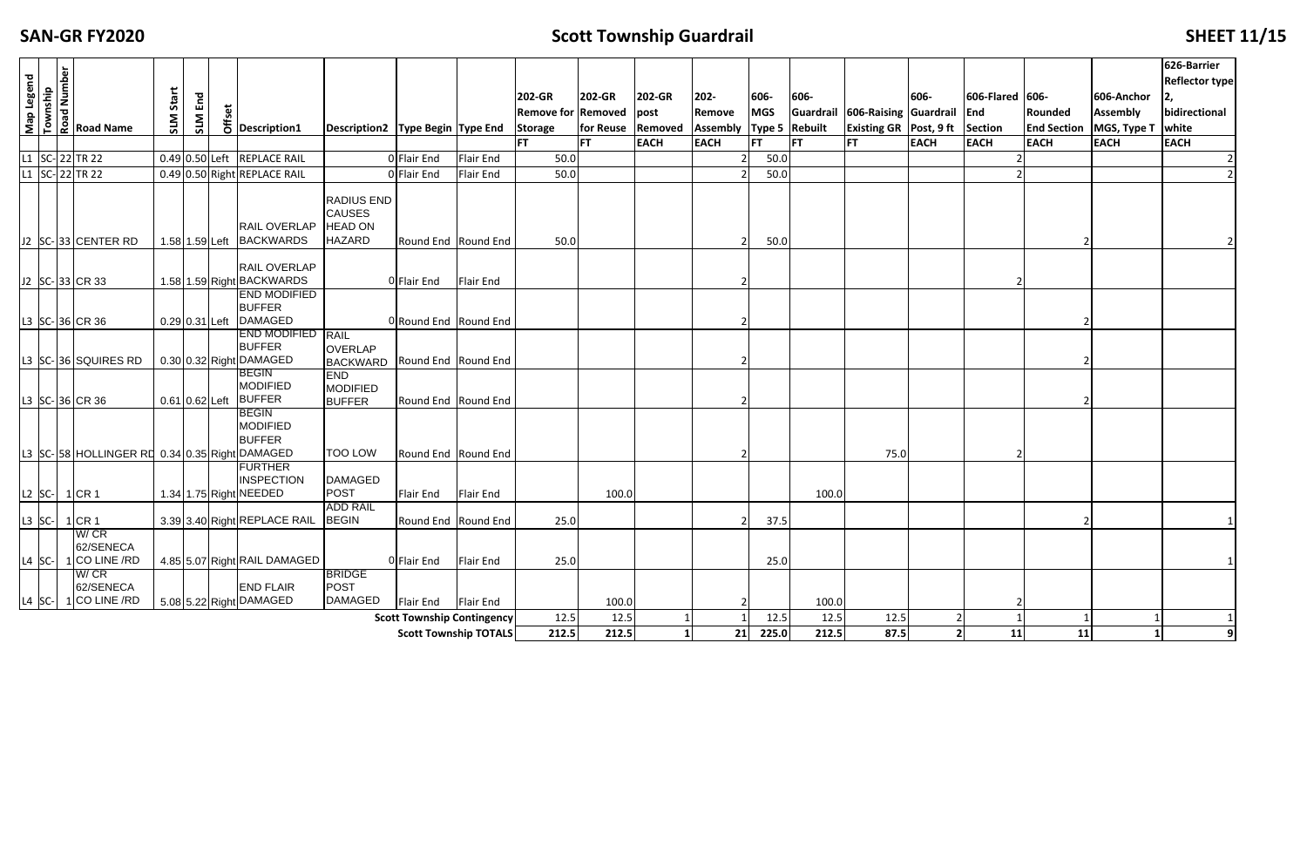### **SAN‐GR**

### **FIZER SCOTT SHEET 11/15**

|                      | Map Legend<br>Township<br>Road Number<br>Road Name |                   |     |                                                                                                        |                                                                |                                   |                  | 202-GR                    | 202-GR            | 202-GR      | $202 -$                     | 606-       | 606-  |                                       | 606-        | 606-Flared 606- |             | 606-Anchor                       | 626-Barrier<br><b>Reflector type</b> |
|----------------------|----------------------------------------------------|-------------------|-----|--------------------------------------------------------------------------------------------------------|----------------------------------------------------------------|-----------------------------------|------------------|---------------------------|-------------------|-------------|-----------------------------|------------|-------|---------------------------------------|-------------|-----------------|-------------|----------------------------------|--------------------------------------|
|                      |                                                    | Sta               | End |                                                                                                        |                                                                |                                   |                  | <b>Remove for Removed</b> |                   | post        | Remove                      | <b>MGS</b> |       | Guardrail 606-Raising Guardrail       |             | End             | Rounded     | <b>Assembly</b>                  | bidirectional                        |
|                      |                                                    | <b>NTS</b>        | SLM | $\begin{array}{c}\n\overline{\updownarrow} \\ \downarrow \overline{\downarrow} \\ \hline\n\end{array}$ | Description2   Type Begin   Type End                           |                                   |                  | <b>Storage</b>            | for Reuse Removed |             | Assembly   Type 5   Rebuilt |            |       | <b>Existing GR Post, 9 ft Section</b> |             |                 |             | <b>End Section   MGS, Type T</b> | white                                |
|                      |                                                    |                   |     |                                                                                                        |                                                                |                                   |                  | l FT                      | <b>FT</b>         | <b>EACH</b> | <b>EACH</b>                 | FT         | FT    | lFT.                                  | <b>EACH</b> | <b>EACH</b>     | <b>EACH</b> | <b>EACH</b>                      | <b>EACH</b>                          |
|                      | L1 SC-22 TR 22                                     |                   |     | 0.49 0.50 Left REPLACE RAIL                                                                            |                                                                | 0 Flair End                       | <b>Flair End</b> | 50.0                      |                   |             |                             | 50.0       |       |                                       |             |                 |             |                                  |                                      |
|                      | L1 SC-22 TR 22                                     |                   |     | 0.49 0.50 Right REPLACE RAIL                                                                           |                                                                | 0 Flair End                       | <b>Flair End</b> | 50.0                      |                   |             |                             | 50.0       |       |                                       |             |                 |             |                                  |                                      |
|                      | J2 SC-33 CENTER RD                                 |                   |     | <b>RAIL OVERLAP</b><br>1.58 1.59 Left BACKWARDS                                                        | RADIUS END<br><b>CAUSES</b><br><b>HEAD ON</b><br><b>HAZARD</b> | Round End Round End               |                  | 50.0                      |                   |             |                             | 50.0       |       |                                       |             |                 |             |                                  |                                      |
|                      | J2 SC-33 CR 33                                     |                   |     | <b>RAIL OVERLAP</b><br>1.58 1.59 Right BACKWARDS                                                       |                                                                | 0 Flair End                       | <b>Flair End</b> |                           |                   |             |                             |            |       |                                       |             |                 |             |                                  |                                      |
|                      | L3 SC-36 CR 36                                     | $0.29 0.31 $ Left |     | <b>END MODIFIED</b><br><b>BUFFER</b><br><b>DAMAGED</b>                                                 |                                                                | 0 Round End Round End             |                  |                           |                   |             |                             |            |       |                                       |             |                 |             |                                  |                                      |
|                      | L3 SC-36 SQUIRES RD                                |                   |     | <b>END MODIFIED</b><br><b>BUFFER</b><br>0.30 0.32 Right DAMAGED                                        | <b>RAIL</b><br>OVERLAP<br><b>BACKWARD</b>                      | Round End Round End               |                  |                           |                   |             |                             |            |       |                                       |             |                 |             |                                  |                                      |
|                      | L3 SC-36 CR 36                                     | $0.61 0.62 $ Left |     | <b>BEGIN</b><br><b>MODIFIED</b><br><b>BUFFER</b>                                                       | <b>END</b><br><b>MODIFIED</b><br><b>BUFFER</b>                 | Round End Round End               |                  |                           |                   |             |                             |            |       |                                       |             |                 |             |                                  |                                      |
|                      | L3 SC-58 HOLLINGER RD 0.34 0.35 Right DAMAGED      |                   |     | <b>BEGIN</b><br><b>MODIFIED</b><br><b>BUFFER</b>                                                       | <b>TOO LOW</b>                                                 | Round End Round End               |                  |                           |                   |             |                             |            |       | 75.0                                  |             |                 |             |                                  |                                      |
| L2 $ SC - 1 $ CR 1   |                                                    |                   |     | <b>FURTHER</b><br><b>INSPECTION</b><br>1.34 1.75 Right NEEDED                                          | <b>DAMAGED</b><br><b>POST</b>                                  | Flair End                         | <b>Flair End</b> |                           | 100.0             |             |                             |            | 100.0 |                                       |             |                 |             |                                  |                                      |
|                      | L3 $ SC - 1  CR 1$                                 |                   |     | 3.39 3.40 Right REPLACE RAIL                                                                           | <b>ADD RAIL</b><br><b>BEGIN</b>                                | Round End Round End               |                  | 25.0                      |                   |             |                             | 37.5       |       |                                       |             |                 |             |                                  |                                      |
|                      | W/CR<br>62/SENECA<br>$1$ CO LINE /RD               |                   |     | 4.85 5.07 Right RAIL DAMAGED                                                                           |                                                                | 0 Flair End                       | Flair End        | 25.0                      |                   |             |                             |            |       |                                       |             |                 |             |                                  |                                      |
| $L4$ SC-<br>$L4$ SC- | W/CR<br>62/SENECA<br>$1$ CO LINE /RD               |                   |     | <b>END FLAIR</b><br>5.08 5.22 Right DAMAGED                                                            | <b>BRIDGE</b><br><b>POST</b><br><b>DAMAGED</b>                 | <b>Flair End</b>                  | <b>Flair End</b> |                           | 100.0             |             |                             | 25.0       | 100.0 |                                       |             |                 |             |                                  |                                      |
|                      |                                                    |                   |     |                                                                                                        |                                                                | <b>Scott Township Contingency</b> |                  | 12.5                      | 12.5              |             |                             | 12.5       | 12.5  | 12.5                                  |             |                 |             |                                  |                                      |
|                      |                                                    |                   |     |                                                                                                        |                                                                | <b>Scott Township TOTALS</b>      |                  | 212.5                     | 212.5             |             | 21                          | 225.0      | 212.5 | 87.5                                  |             | 11              | 11          |                                  | 9                                    |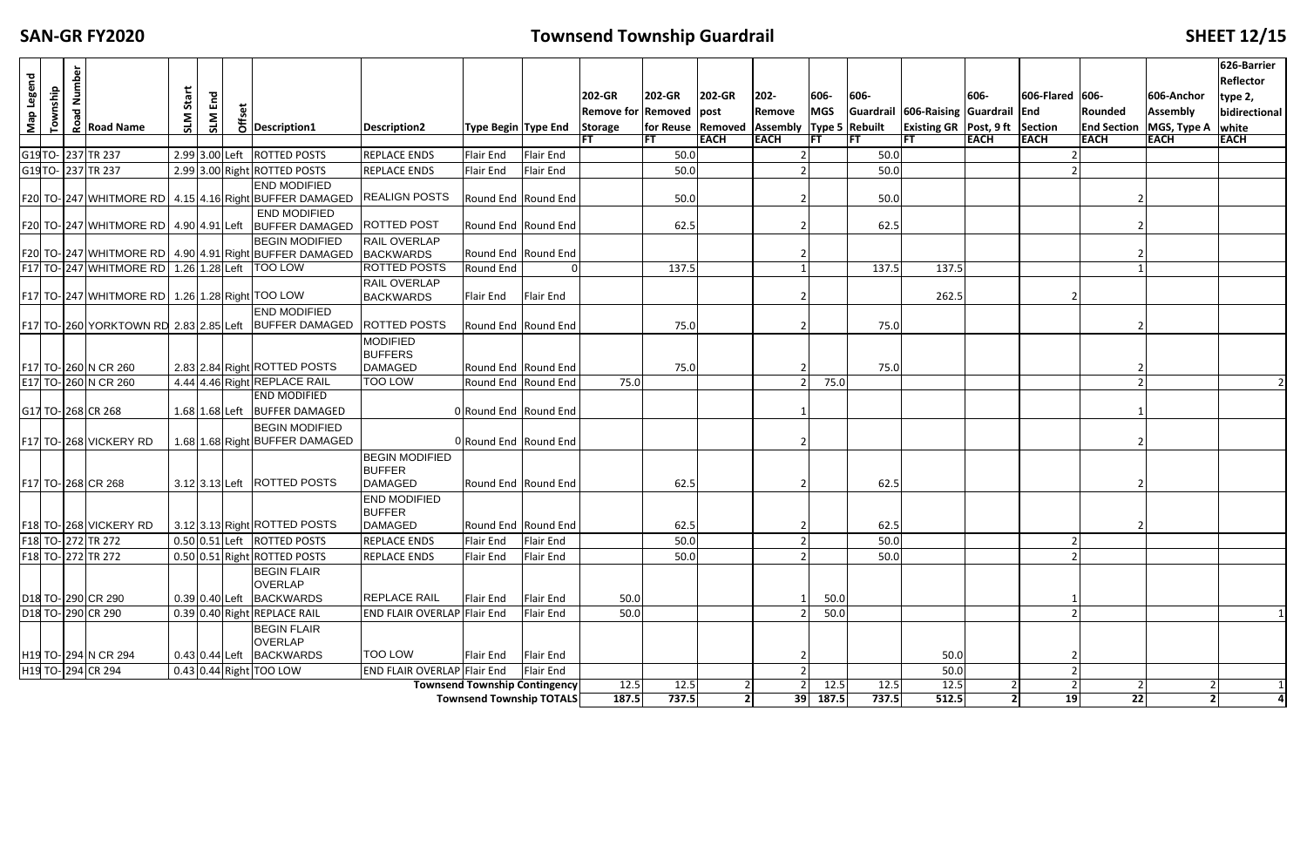## **FIGUARTIZE: FIGUARTIZE: CONTENTIZE: CONTENTIZE: CONTENTIZE: CONTENTIZE: CONTENTIZE: CONTENTIZE: CONTENTIZE: CONTENTIZE: CONTENTIZE: CONTENTIZE: CONTENTIZE: CONTENTIZE: CONTENTIZE: CONTENTIZE:**

|            |          |                                                        |       |             |                                                     |                                                         |                                         |                                      |                  |                                |                                                   |             |                |            |              |                                      |             |                 |             |                                                 | 626-Barrier             |
|------------|----------|--------------------------------------------------------|-------|-------------|-----------------------------------------------------|---------------------------------------------------------|-----------------------------------------|--------------------------------------|------------------|--------------------------------|---------------------------------------------------|-------------|----------------|------------|--------------|--------------------------------------|-------------|-----------------|-------------|-------------------------------------------------|-------------------------|
| Map Legend |          | <b>Exampler</b><br>Road Name                           |       |             |                                                     |                                                         |                                         |                                      |                  |                                |                                                   |             |                |            |              |                                      |             |                 |             |                                                 | <b>Reflector</b>        |
|            | Township |                                                        | Start | $E_{\rm m}$ |                                                     |                                                         |                                         |                                      |                  | 202-GR                         | 202-GR                                            | 202-GR      | $202 -$        | 606-       | 606-         |                                      | 606-        | 606-Flared 606- |             | 606-Anchor                                      | type 2,                 |
|            |          |                                                        |       | SLM         | te<br>#E<br>O Description1                          |                                                         |                                         |                                      |                  | <b>Remove for Removed post</b> |                                                   |             | Remove         | <b>MGS</b> |              | Guardrail 606-Raising Guardrail End  |             |                 | Rounded     | <b>Assembly</b>                                 | bidirectional           |
|            |          |                                                        |       |             |                                                     |                                                         | <b>Description2</b>                     | Type Begin Type End                  |                  | <b>Storage</b>                 | for Reuse Removed Assembly Type 5 Rebuilt<br>IFT. | <b>EACH</b> | <b>EACH</b>    |            |              | Existing GR   Post, $9$ ft   Section | <b>EACH</b> | <b>EACH</b>     | <b>EACH</b> | <b>End Section   MGS, Type A</b><br><b>EACH</b> | white<br><b>EACH</b>    |
|            |          | G19TO- 237 TR 237                                      |       |             | 2.99 3.00 Left ROTTED POSTS                         |                                                         | <b>REPLACE ENDS</b>                     | <b>Flair End</b>                     | <b>Flair End</b> |                                | 50.0                                              |             |                |            | IFT.<br>50.0 |                                      |             |                 |             |                                                 |                         |
|            |          | G19TO- 237 TR 237                                      |       |             |                                                     |                                                         |                                         |                                      |                  |                                |                                                   |             |                |            |              |                                      |             |                 |             |                                                 |                         |
|            |          |                                                        |       |             | 2.99 3.00 Right ROTTED POSTS                        |                                                         | <b>REPLACE ENDS</b>                     | <b>Flair End</b>                     | Flair End        |                                | 50.0                                              |             |                |            | 50.0         |                                      |             |                 |             |                                                 |                         |
|            |          | F20 TO- 247 WHITMORE RD 4.15 4.16 Right BUFFER DAMAGED |       |             |                                                     | <b>END MODIFIED</b>                                     | <b>REALIGN POSTS</b>                    | Round End Round End                  |                  |                                | 50.0                                              |             |                |            | 50.0         |                                      |             |                 |             |                                                 |                         |
|            |          |                                                        |       |             |                                                     | <b>END MODIFIED</b>                                     |                                         |                                      |                  |                                |                                                   |             |                |            |              |                                      |             |                 |             |                                                 |                         |
|            |          | F20 TO-247 WHITMORE RD 4.90 4.91 Left BUFFER DAMAGED   |       |             |                                                     |                                                         | <b>ROTTED POST</b>                      | Round End Round End                  |                  |                                | 62.5                                              |             |                |            | 62.5         |                                      |             |                 |             |                                                 |                         |
|            |          |                                                        |       |             |                                                     | <b>BEGIN MODIFIED</b>                                   | RAIL OVERLAP                            |                                      |                  |                                |                                                   |             |                |            |              |                                      |             |                 |             |                                                 |                         |
|            |          | F20 TO- 247 WHITMORE RD 4.90 4.91 Right BUFFER DAMAGED |       |             |                                                     |                                                         | <b>BACKWARDS</b>                        | Round End Round End                  |                  |                                |                                                   |             |                |            |              |                                      |             |                 |             |                                                 |                         |
|            |          | F17 TO-247 WHITMORE RD 1.26 1.28 Left TOO LOW          |       |             |                                                     |                                                         | <b>ROTTED POSTS</b>                     | Round End                            |                  |                                | 137.5                                             |             |                |            | 137.5        | 137.5                                |             |                 |             |                                                 |                         |
|            |          | F17 TO- 247 WHITMORE RD 1.26 1.28 Right TOO LOW        |       |             |                                                     |                                                         | <b>RAIL OVERLAP</b><br><b>BACKWARDS</b> | <b>Flair End</b>                     | Flair End        |                                |                                                   |             |                |            |              | 262.5                                |             |                 |             |                                                 |                         |
|            |          |                                                        |       |             |                                                     | <b>END MODIFIED</b>                                     |                                         |                                      |                  |                                |                                                   |             |                |            |              |                                      |             |                 |             |                                                 |                         |
|            |          | F17 TO-260 YORKTOWN RD 2.83 2.85 Left                  |       |             |                                                     | <b>BUFFER DAMAGED</b>                                   | <b>ROTTED POSTS</b>                     | Round End Round End                  |                  |                                | 75.0                                              |             |                |            | 75.0         |                                      |             |                 |             |                                                 |                         |
|            |          |                                                        |       |             |                                                     |                                                         | <b>MODIFIED</b>                         |                                      |                  |                                |                                                   |             |                |            |              |                                      |             |                 |             |                                                 |                         |
|            |          |                                                        |       |             |                                                     |                                                         | <b>BUFFERS</b>                          |                                      |                  |                                |                                                   |             |                |            |              |                                      |             |                 |             |                                                 |                         |
|            |          | F17 TO-260 N CR 260                                    |       |             | 2.83 2.84 Right ROTTED POSTS                        |                                                         | <b>DAMAGED</b>                          | Round End Round End                  |                  |                                | 75.0                                              |             |                |            | 75.0         |                                      |             |                 |             |                                                 |                         |
|            |          | E17 TO-260 N CR 260                                    |       |             | 4.44 4.46 Right REPLACE RAIL<br><b>END MODIFIED</b> |                                                         | <b>TOO LOW</b>                          | Round End Round End                  |                  | 75.0                           |                                                   |             |                | 75.0       |              |                                      |             |                 |             |                                                 |                         |
|            |          | G17 TO-268 CR 268                                      |       |             |                                                     | 1.68 1.68 Left BUFFER DAMAGED                           |                                         | 0 Round End Round End                |                  |                                |                                                   |             |                |            |              |                                      |             |                 |             |                                                 |                         |
|            |          |                                                        |       |             |                                                     |                                                         |                                         |                                      |                  |                                |                                                   |             |                |            |              |                                      |             |                 |             |                                                 |                         |
|            |          | F17 TO-268 VICKERY RD                                  |       |             |                                                     | <b>BEGIN MODIFIED</b><br>1.68 1.68 Right BUFFER DAMAGED |                                         | 0 Round End Round End                |                  |                                |                                                   |             |                |            |              |                                      |             |                 |             |                                                 |                         |
|            |          |                                                        |       |             |                                                     |                                                         | <b>BEGIN MODIFIED</b>                   |                                      |                  |                                |                                                   |             |                |            |              |                                      |             |                 |             |                                                 |                         |
|            |          |                                                        |       |             |                                                     |                                                         | <b>BUFFER</b>                           |                                      |                  |                                |                                                   |             |                |            |              |                                      |             |                 |             |                                                 |                         |
|            |          | F17 TO-268 CR 268                                      |       |             | 3.12 3.13 Left ROTTED POSTS                         |                                                         | <b>DAMAGED</b>                          | Round End Round End                  |                  |                                | 62.5                                              |             |                |            | 62.5         |                                      |             |                 |             |                                                 |                         |
|            |          |                                                        |       |             |                                                     |                                                         | <b>END MODIFIED</b>                     |                                      |                  |                                |                                                   |             |                |            |              |                                      |             |                 |             |                                                 |                         |
|            |          |                                                        |       |             |                                                     |                                                         | <b>BUFFER</b>                           |                                      |                  |                                |                                                   |             |                |            |              |                                      |             |                 |             |                                                 |                         |
|            |          | F18 TO-268 VICKERY RD                                  |       |             | 3.12 3.13 Right ROTTED POSTS                        |                                                         | <b>DAMAGED</b>                          | Round End Round End                  |                  |                                | 62.5                                              |             |                |            | 62.5         |                                      |             |                 |             |                                                 |                         |
|            |          | F18 TO-272 TR 272                                      |       |             | 0.50 0.51 Left ROTTED POSTS                         |                                                         | <b>REPLACE ENDS</b>                     | Flair End                            | <b>Flair End</b> |                                | 50.0                                              |             | $\overline{2}$ |            | 50.0         |                                      |             |                 |             |                                                 |                         |
|            |          | F18 TO-272 TR 272                                      |       |             | 0.50 0.51 Right ROTTED POSTS                        |                                                         | <b>REPLACE ENDS</b>                     | Flair End                            | Flair End        |                                | 50.0                                              |             |                |            | 50.0         |                                      |             |                 |             |                                                 |                         |
|            |          |                                                        |       |             | <b>BEGIN FLAIR</b>                                  |                                                         |                                         |                                      |                  |                                |                                                   |             |                |            |              |                                      |             |                 |             |                                                 |                         |
|            |          |                                                        |       |             | OVERLAP<br>0.39 0.40 Left BACKWARDS                 |                                                         | <b>REPLACE RAIL</b>                     | Flair End                            | Flair End        |                                |                                                   |             |                |            |              |                                      |             |                 |             |                                                 |                         |
|            |          | D18 TO-290 CR 290                                      |       |             |                                                     |                                                         | <b>END FLAIR OVERLAP Flair End</b>      |                                      |                  | 50.0                           |                                                   |             |                | 50.0       |              |                                      |             |                 |             |                                                 |                         |
|            |          | D <sub>18</sub> TO-290 CR 290                          |       |             | 0.39 0.40 Right REPLACE RAIL                        |                                                         |                                         |                                      | Flair End        | 50.0                           |                                                   |             |                | 50.0       |              |                                      |             |                 |             |                                                 |                         |
|            |          |                                                        |       |             | <b>BEGIN FLAIR</b><br><b>OVERLAP</b>                |                                                         |                                         |                                      |                  |                                |                                                   |             |                |            |              |                                      |             |                 |             |                                                 |                         |
|            |          | H19 TO-294 N CR 294                                    |       |             | 0.43 0.44 Left BACKWARDS                            |                                                         | <b>TOO LOW</b>                          | Flair End Flair End                  |                  |                                |                                                   |             |                |            |              | 50.0                                 |             |                 |             |                                                 |                         |
|            |          | H19 TO- 294 CR 294                                     |       |             | $0.43$ 0.44 Right TOO LOW                           |                                                         | <b>END FLAIR OVERLAP Flair End</b>      |                                      | Flair End        |                                |                                                   |             |                |            |              | 50.0                                 |             |                 |             |                                                 |                         |
|            |          |                                                        |       |             |                                                     |                                                         |                                         | <b>Townsend Township Contingency</b> |                  | $\boxed{12.5}$                 | 12.5                                              |             |                | 12.5       | 12.5         | $\overline{12.5}$                    |             |                 |             |                                                 |                         |
|            |          |                                                        |       |             |                                                     |                                                         |                                         | Townsend Township TOTALS             |                  | 187.5                          | 737.5                                             |             | 39             | 187.5      | 737.5        | 512.5                                |             | 19              | 22          | $\overline{2}$                                  | $\overline{\mathbf{A}}$ |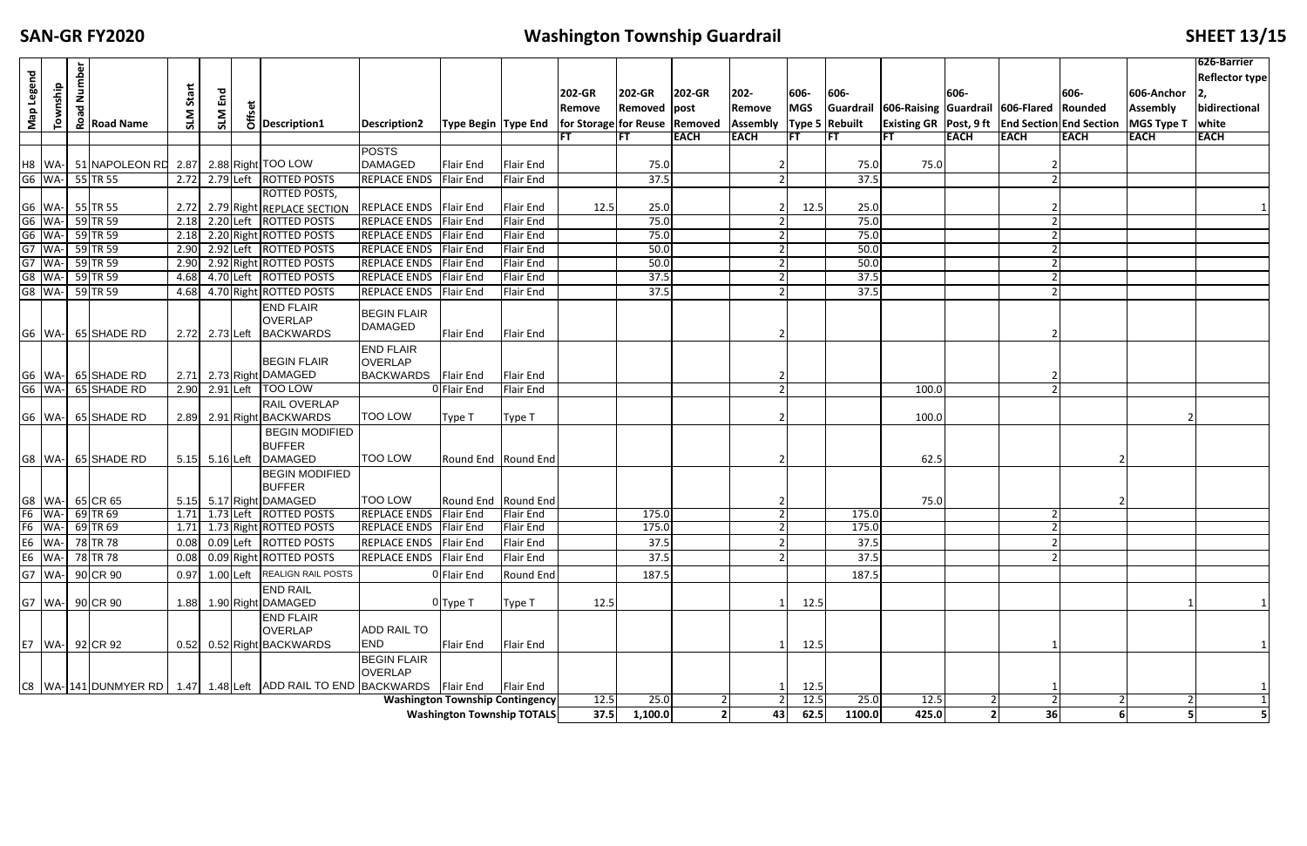## **FIXALLE <b>I EXECUTE: FIXALLE <b>EXECUTE: FIXALLE <b>EXECUTE: FIXALLE EXECUTE: EXECUTE: EXECUTE: EXECUTE: EXECUTE: EXECUTE: EXECUTE: EXECUTE: EXECUTE: EXECUTE: EXECUTE: EXECUTE: EXECUTE: EXEC**

| Map Legend                                               |          | Number |                                                  |            |                    |  |                                                                                  |                                 |                                                                                       |                  |        |              |             |             |            |            |                                                    |             |             |                                                      |                   | 626-Barrier<br>Reflector type |
|----------------------------------------------------------|----------|--------|--------------------------------------------------|------------|--------------------|--|----------------------------------------------------------------------------------|---------------------------------|---------------------------------------------------------------------------------------|------------------|--------|--------------|-------------|-------------|------------|------------|----------------------------------------------------|-------------|-------------|------------------------------------------------------|-------------------|-------------------------------|
|                                                          | Township |        |                                                  | Start      | End                |  |                                                                                  |                                 |                                                                                       |                  | 202-GR | 202-GR       | 202-GR      | 202-        | 606-       | 606-       |                                                    | 606-        |             | 606-                                                 | 606-Anchor        |                               |
|                                                          |          | ъ      |                                                  |            |                    |  |                                                                                  |                                 |                                                                                       |                  | Remove | Removed post |             | Remove      | <b>MGS</b> |            | Guardrail 606-Raising Guardrail 606-Flared Rounded |             |             |                                                      | <b>Assembly</b>   | bidirectional                 |
|                                                          |          |        | $\frac{8}{6}$ Road Name                          | <b>NTS</b> | SLM                |  | $\frac{1}{6}$ Description1                                                       | Description2                    | Type Begin  Type End   for Storage  for Reuse   Removed   Assembly   Type 5   Rebuilt |                  |        |              |             |             |            |            |                                                    |             |             | Existing GR   Post, 9 ft   End Section   End Section | <b>MGS Type T</b> | white                         |
|                                                          |          |        |                                                  |            |                    |  |                                                                                  |                                 |                                                                                       |                  | FT     | IFT          | <b>EACH</b> | <b>EACH</b> | l FT       | <b>IFT</b> | IFT.                                               | <b>EACH</b> | <b>EACH</b> | <b>EACH</b>                                          | <b>EACH</b>       | <b>EACH</b>                   |
|                                                          |          |        |                                                  |            |                    |  |                                                                                  | <b>POSTS</b>                    |                                                                                       |                  |        |              |             |             |            |            |                                                    |             |             |                                                      |                   |                               |
|                                                          |          |        |                                                  |            |                    |  |                                                                                  | <b>DAMAGED</b>                  | Flair End                                                                             | <b>Flair End</b> |        | 75.0         |             |             |            | 75.0       | 75.0                                               |             |             |                                                      |                   |                               |
|                                                          |          |        | G6 WA- 55 TR 55                                  |            |                    |  | 2.72 2.79 Left ROTTED POSTS                                                      | REPLACE ENDS Flair End          |                                                                                       | <b>Flair End</b> |        | 37.5         |             |             |            | 37.5       |                                                    |             |             |                                                      |                   |                               |
|                                                          |          |        |                                                  |            |                    |  | <b>ROTTED POSTS,</b>                                                             |                                 |                                                                                       |                  |        |              |             |             |            |            |                                                    |             |             |                                                      |                   |                               |
|                                                          |          |        | 66   WA-   55   TR 55<br>  66   WA-   59   TR 59 |            |                    |  | 2.72 2.79 Right REPLACE SECTION                                                  | REPLACE ENDS Flair End          |                                                                                       | <b>Flair End</b> | 12.5   | 25.0         |             |             | 12.5       | 25.0       |                                                    |             |             |                                                      |                   |                               |
|                                                          |          |        |                                                  | 2.18       |                    |  | 2.20 Left ROTTED POSTS                                                           | <b>REPLACE ENDS Flair End</b>   |                                                                                       | <b>Flair End</b> |        | 75.0         |             |             |            | 75.0       |                                                    |             |             |                                                      |                   |                               |
|                                                          |          |        | G6 WA- 59 TR 59                                  |            |                    |  | 2.18 2.20 Right ROTTED POSTS                                                     | <b>REPLACE ENDS Flair End</b>   |                                                                                       | <b>Flair End</b> |        | 75.0         |             |             |            | 75.0       |                                                    |             |             |                                                      |                   |                               |
|                                                          |          |        | G7 WA- 59 TR 59                                  |            |                    |  | 2.90 2.92 Left ROTTED POSTS                                                      | <b>REPLACE ENDS Flair End</b>   |                                                                                       | <b>Flair End</b> |        | 50.0         |             |             |            | 50.0       |                                                    |             |             |                                                      |                   |                               |
|                                                          |          |        | G7 WA- 59 TR 59                                  |            |                    |  | 2.90 2.92 Right ROTTED POSTS                                                     | REPLACE ENDS Flair End          |                                                                                       | <b>Flair End</b> |        | 50.0         |             |             |            | 50.0       |                                                    |             |             |                                                      |                   |                               |
|                                                          |          |        | G8 WA- 59 TR 59                                  |            |                    |  | 4.68 4.70 Left ROTTED POSTS                                                      | REPLACE ENDS Flair End          |                                                                                       | <b>Flair End</b> |        | 37.5         |             |             |            | 37.5       |                                                    |             |             |                                                      |                   |                               |
|                                                          |          |        | G8 WA- 59 TR 59                                  |            |                    |  | 4.68 4.70 Right ROTTED POSTS                                                     | REPLACE ENDS Flair End          |                                                                                       | <b>Flair End</b> |        | 37.5         |             |             |            | 37.5       |                                                    |             |             |                                                      |                   |                               |
|                                                          |          |        |                                                  |            |                    |  | <b>END FLAIR</b>                                                                 | <b>BEGIN FLAIR</b>              |                                                                                       |                  |        |              |             |             |            |            |                                                    |             |             |                                                      |                   |                               |
|                                                          |          |        |                                                  |            |                    |  | <b>OVERLAP</b>                                                                   | <b>DAMAGED</b>                  |                                                                                       |                  |        |              |             |             |            |            |                                                    |             |             |                                                      |                   |                               |
|                                                          |          |        | G6 WA- 65 SHADE RD                               |            |                    |  | 2.72 2.73 Left BACKWARDS                                                         |                                 | Flair End                                                                             | <b>Flair End</b> |        |              |             |             |            |            |                                                    |             |             |                                                      |                   |                               |
|                                                          |          |        |                                                  |            |                    |  | <b>BEGIN FLAIR</b>                                                               | <b>END FLAIR</b>                |                                                                                       |                  |        |              |             |             |            |            |                                                    |             |             |                                                      |                   |                               |
|                                                          |          |        |                                                  |            |                    |  |                                                                                  | <b>OVERLAP</b>                  |                                                                                       |                  |        |              |             |             |            |            |                                                    |             |             |                                                      |                   |                               |
|                                                          |          |        | G6 WA- 65 SHADE RD<br>G6   WA-   65 SHADE RD     |            |                    |  | 2.71 2.73 Right DAMAGED<br>2.90 2.91 Left   TOO LOW                              | <b>BACKWARDS</b>                | Flair End                                                                             | <b>Flair End</b> |        |              |             |             |            |            |                                                    |             |             |                                                      |                   |                               |
|                                                          |          |        |                                                  |            |                    |  |                                                                                  |                                 | OFlair End                                                                            | <b>Flair End</b> |        |              |             |             |            |            | 100.0                                              |             |             |                                                      |                   |                               |
|                                                          |          |        | G6   WA-   65 SHADE RD                           |            |                    |  | <b>RAIL OVERLAP</b><br>2.89 2.91 Right BACKWARDS                                 | <b>TOO LOW</b>                  | Type T                                                                                | Type T           |        |              |             |             |            |            | 100.0                                              |             |             |                                                      |                   |                               |
|                                                          |          |        |                                                  |            |                    |  | <b>BEGIN MODIFIED</b>                                                            |                                 |                                                                                       |                  |        |              |             |             |            |            |                                                    |             |             |                                                      |                   |                               |
|                                                          |          |        |                                                  |            |                    |  | <b>BUFFER</b>                                                                    |                                 |                                                                                       |                  |        |              |             |             |            |            |                                                    |             |             |                                                      |                   |                               |
|                                                          |          |        | G8 WA- 65 SHADE RD                               |            | $5.15$ $5.16$ Left |  | <b>DAMAGED</b>                                                                   | <b>TOO LOW</b>                  | Round End Round End                                                                   |                  |        |              |             |             |            |            | 62.5                                               |             |             |                                                      |                   |                               |
|                                                          |          |        |                                                  |            |                    |  | <b>BEGIN MODIFIED</b>                                                            |                                 |                                                                                       |                  |        |              |             |             |            |            |                                                    |             |             |                                                      |                   |                               |
|                                                          |          |        |                                                  |            |                    |  | <b>BUFFER</b>                                                                    |                                 |                                                                                       |                  |        |              |             |             |            |            |                                                    |             |             |                                                      |                   |                               |
|                                                          |          |        | G8   WA-   65 CR 65                              |            |                    |  | 5.15 5.17 Right DAMAGED                                                          | <b>TOO LOW</b>                  | Round End Round End                                                                   |                  |        |              |             |             |            |            | 75.0                                               |             |             |                                                      |                   |                               |
|                                                          |          |        | F6 WA- 69 TR 69                                  |            |                    |  | 1.71 1.73 Left ROTTED POSTS                                                      | <b>REPLACE ENDS   Flair End</b> |                                                                                       | <b>Flair End</b> |        | 175.0        |             |             |            | 175.0      |                                                    |             |             |                                                      |                   |                               |
|                                                          |          |        | F6 WA- 69 TR 69                                  |            |                    |  | 1.71 1.73 Right ROTTED POSTS                                                     | <b>REPLACE ENDS Flair End</b>   |                                                                                       | Flair End        |        | 175.0        |             |             |            | 175.0      |                                                    |             |             |                                                      |                   |                               |
|                                                          | E6   WA- |        | 78 TR 78                                         |            |                    |  | 0.08 0.09 Left ROTTED POSTS                                                      | REPLACE ENDS Flair End          |                                                                                       | <b>Flair End</b> |        | 37.5         |             |             |            | 37.5       |                                                    |             |             |                                                      |                   |                               |
|                                                          | E6 WA-   |        | 78 TR 78                                         |            |                    |  | 0.08 0.09 Right ROTTED POSTS                                                     | REPLACE ENDS Flair End          |                                                                                       | Flair End        |        | 37.5         |             |             |            | 37.5       |                                                    |             |             |                                                      |                   |                               |
| G7                                                       |          |        | WA- 90 CR 90                                     | 0.97       |                    |  | 1.00 Left REALIGN RAIL POSTS                                                     |                                 | 0 Flair End                                                                           | Round End        |        | 187.5        |             |             |            | 187.5      |                                                    |             |             |                                                      |                   |                               |
|                                                          |          |        |                                                  |            |                    |  | <b>END RAIL</b>                                                                  |                                 |                                                                                       |                  |        |              |             |             |            |            |                                                    |             |             |                                                      |                   |                               |
|                                                          |          |        | G7   WA-   90 CR 90                              | 1.88       |                    |  | 1.90 Right DAMAGED                                                               |                                 | $0$ Type T                                                                            | Type T           | 12.5   |              |             |             | 12.5       |            |                                                    |             |             |                                                      |                   |                               |
|                                                          |          |        |                                                  |            |                    |  |                                                                                  |                                 |                                                                                       |                  |        |              |             |             |            |            |                                                    |             |             |                                                      |                   |                               |
| <b>END FLAIR</b><br><b>OVERLAP</b><br><b>ADD RAIL TO</b> |          |        |                                                  |            |                    |  |                                                                                  |                                 |                                                                                       |                  |        |              |             |             |            |            |                                                    |             |             |                                                      |                   |                               |
|                                                          |          |        | E7   WA-  92 CR 92                               |            |                    |  | 0.52 0.52 Right BACKWARDS                                                        | <b>END</b>                      | Flair End                                                                             | Flair End        |        |              |             |             | 12.5       |            |                                                    |             |             |                                                      |                   |                               |
|                                                          |          |        |                                                  |            |                    |  |                                                                                  | <b>BEGIN FLAIR</b>              |                                                                                       |                  |        |              |             |             |            |            |                                                    |             |             |                                                      |                   |                               |
|                                                          |          |        |                                                  |            |                    |  |                                                                                  | <b>OVERLAP</b>                  |                                                                                       |                  |        |              |             |             |            |            |                                                    |             |             |                                                      |                   |                               |
|                                                          |          |        |                                                  |            |                    |  | C8  WA- 141 DUNMYER RD   1.47   1.48 Left  ADD RAIL TO END  BACKWARDS  Flair End |                                 |                                                                                       | Flair End        |        |              |             |             | 12.5       |            |                                                    |             |             |                                                      |                   |                               |
|                                                          |          |        |                                                  |            |                    |  |                                                                                  |                                 | <b>Washington Township Contingency</b>                                                |                  | 12.5   | 25.0         |             |             | 12.5       | 25.0       | 12.5                                               |             |             |                                                      |                   |                               |
|                                                          |          |        |                                                  |            |                    |  |                                                                                  |                                 | <b>Washington Township TOTALS</b>                                                     |                  | 37.5   | 1,100.0      |             | 43          | 62.5       | 1100.0     | 425.0                                              |             | 36          |                                                      | 5                 |                               |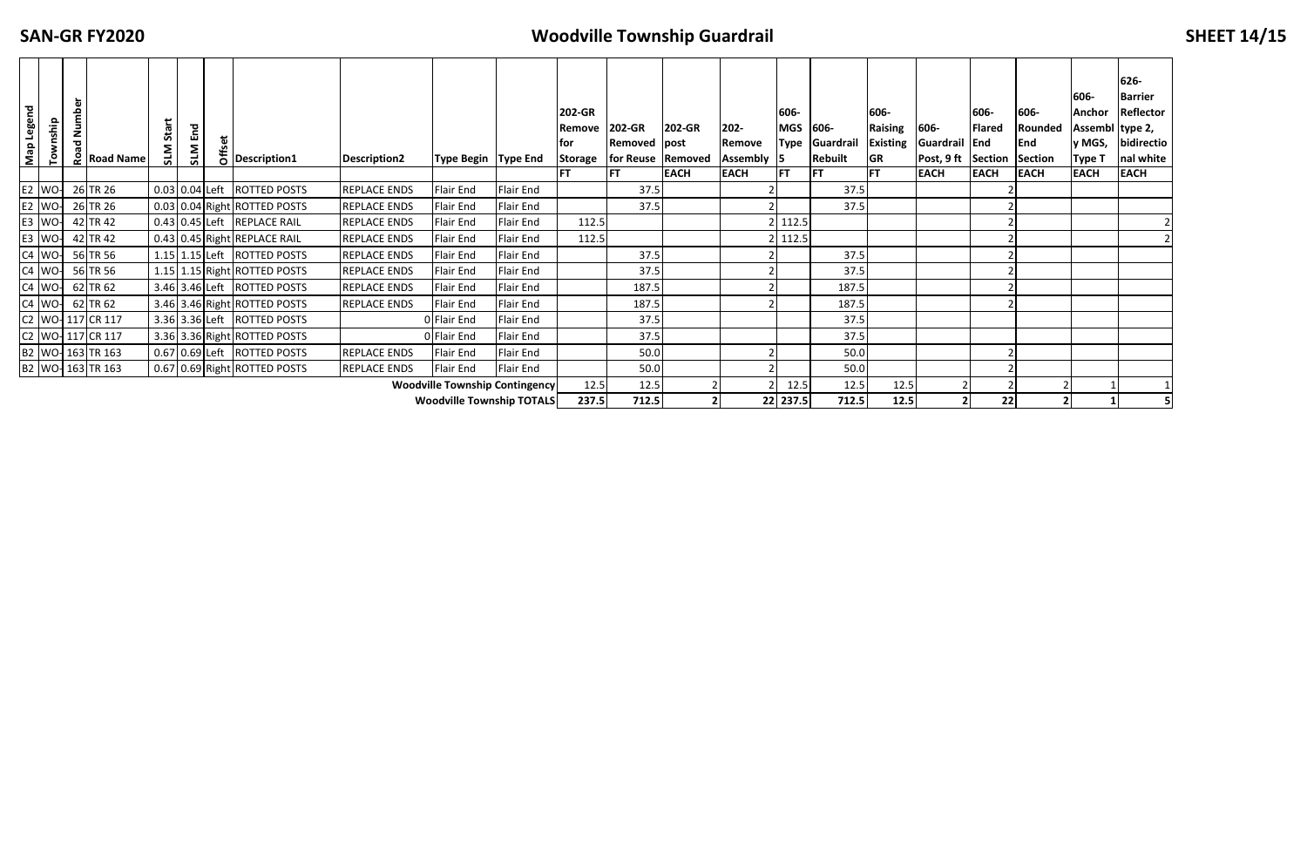### **FX4 FX4 CONSIMISP CONSIMISP GUARDING <b>CONSIMISP SHEET 14**/15

| Map Legend                       | Township      | mber | <b>2</b> Road Name            | Start<br><b>NTS</b> | End<br>SLM | 붑 | bescription1                  | <b>Description2</b> | <b>Type Begin Type End</b>            |           | 202-GR<br>Remove<br>for<br>Storage | 202-GR<br><b>Removed post</b><br>for Reuse   Removed<br><b>IFT</b> | 202-GR<br><b>EACH</b> | $202 -$<br>Remove<br><b>Assembly</b><br><b>EACH</b> | 606-<br><b>MGS</b><br>Type<br><b>IFT</b> | 606-<br>Guardrai<br><b>Rebuilt</b><br><b>IFT</b> | 606-<br><b>Raising</b><br>Existing<br><b>GR</b><br><b>FT</b> | 606-<br>Guardrail End<br>Post, 9 ft Section<br><b>EACH</b> | 606-<br><b>Flared</b><br><b>EACH</b> | 606-<br>Rounded<br><b>End</b><br><b>Section</b><br><b>EACH</b> | 606-<br><b>Anchor</b><br>Assembl type 2,<br>y MGS,<br><b>Type 1</b><br><b>EACH</b> | 626-<br><b>Barrier</b><br><b>Reflector</b><br>bidirectio<br>nal white<br><b>EACH</b> |
|----------------------------------|---------------|------|-------------------------------|---------------------|------------|---|-------------------------------|---------------------|---------------------------------------|-----------|------------------------------------|--------------------------------------------------------------------|-----------------------|-----------------------------------------------------|------------------------------------------|--------------------------------------------------|--------------------------------------------------------------|------------------------------------------------------------|--------------------------------------|----------------------------------------------------------------|------------------------------------------------------------------------------------|--------------------------------------------------------------------------------------|
|                                  | $E2$ WO-      |      | 26 TR 26                      |                     |            |   | 0.03 0.04 Left ROTTED POSTS   | REPLACE ENDS        | Flair End                             | Flair End |                                    | 37.5                                                               |                       |                                                     |                                          | 37.5                                             |                                                              |                                                            |                                      |                                                                |                                                                                    |                                                                                      |
|                                  | E2 WO-        |      | 26 TR 26                      |                     |            |   | 0.03 0.04 Right ROTTED POSTS  | REPLACE ENDS        | Flair End                             | Flair End |                                    | 37.5                                                               |                       |                                                     |                                          | 37.5                                             |                                                              |                                                            |                                      |                                                                |                                                                                    |                                                                                      |
|                                  | <b>E3</b> WO- |      | 42 TR 42                      |                     |            |   | 0.43 0.45 Left REPLACE RAIL   | REPLACE ENDS        | Flair End                             | Flair End | 112.5                              |                                                                    |                       |                                                     | 112.5                                    |                                                  |                                                              |                                                            |                                      |                                                                |                                                                                    |                                                                                      |
|                                  | $E3$ WO-      |      | 42 TR 42                      |                     |            |   | 0.43 0.45 Right REPLACE RAIL  | <b>REPLACE ENDS</b> | Flair End                             | Flair End | 112.5                              |                                                                    |                       |                                                     | 112.5                                    |                                                  |                                                              |                                                            |                                      |                                                                |                                                                                    |                                                                                      |
|                                  | C4 WO-        |      | 56 TR 56                      |                     |            |   | 1.15 1.15 Left ROTTED POSTS   | REPLACE ENDS        | Flair End                             | Flair End |                                    | 37.5                                                               |                       |                                                     |                                          | 37.5                                             |                                                              |                                                            |                                      |                                                                |                                                                                    |                                                                                      |
|                                  | $C4$ WO-      |      | 56 TR 56                      |                     |            |   | 1.15 1.15 Right ROTTED POSTS  | REPLACE ENDS        | Flair End                             | Flair End |                                    | 37.5                                                               |                       |                                                     |                                          | 37.5                                             |                                                              |                                                            |                                      |                                                                |                                                                                    |                                                                                      |
|                                  | $C4$ WO-      |      | 62 TR 62                      |                     |            |   | 3.46 3.46 Left ROTTED POSTS   | REPLACE ENDS        | Flair End                             | Flair End |                                    | 187.5                                                              |                       |                                                     |                                          | 187.5                                            |                                                              |                                                            |                                      |                                                                |                                                                                    |                                                                                      |
|                                  | $C4$ WO-      |      | 62 TR 62                      |                     |            |   | 3.46 3.46 Right ROTTED POSTS  | REPLACE ENDS        | Flair End                             | Flair End |                                    | 187.5                                                              |                       |                                                     |                                          | 187.5                                            |                                                              |                                                            |                                      |                                                                |                                                                                    |                                                                                      |
|                                  |               |      | C <sub>2</sub> WO- 117 CR 117 |                     |            |   | 3.36 3.36 Left   ROTTED POSTS |                     | D Flair End                           | Flair End |                                    | 37.5                                                               |                       |                                                     |                                          | 37.5                                             |                                                              |                                                            |                                      |                                                                |                                                                                    |                                                                                      |
|                                  |               |      | C2 WO- 117 CR 117             |                     |            |   | 3.36 3.36 Right ROTTED POSTS  |                     | 0 Flair End                           | Flair End |                                    | 37.5                                                               |                       |                                                     |                                          | 37.5                                             |                                                              |                                                            |                                      |                                                                |                                                                                    |                                                                                      |
|                                  |               |      | B2 WO-163 TR 163              |                     |            |   | 0.67 0.69 Left ROTTED POSTS   | REPLACE ENDS        | Flair End                             | Flair End |                                    | 50.0                                                               |                       |                                                     |                                          | 50.0                                             |                                                              |                                                            |                                      |                                                                |                                                                                    |                                                                                      |
|                                  |               |      | B2 WO- 163 TR 163             |                     |            |   | 0.67 0.69 Right ROTTED POSTS  | <b>REPLACE ENDS</b> | Flair End                             | Flair End |                                    | 50.0                                                               |                       |                                                     |                                          | 50.0                                             |                                                              |                                                            |                                      |                                                                |                                                                                    |                                                                                      |
|                                  |               |      |                               |                     |            |   |                               |                     | <b>Woodville Township Contingency</b> |           | 12.5                               | 12.5                                                               |                       |                                                     | 12.5                                     | 12.5                                             | 12.5                                                         |                                                            |                                      |                                                                |                                                                                    |                                                                                      |
| <b>Woodville Township TOTALS</b> |               |      |                               |                     |            |   |                               | 237.5               | 712.5                                 |           |                                    | 22 237.5                                                           | 712.5                 | 12.5                                                |                                          | 22                                               |                                                              |                                                            |                                      |                                                                |                                                                                    |                                                                                      |